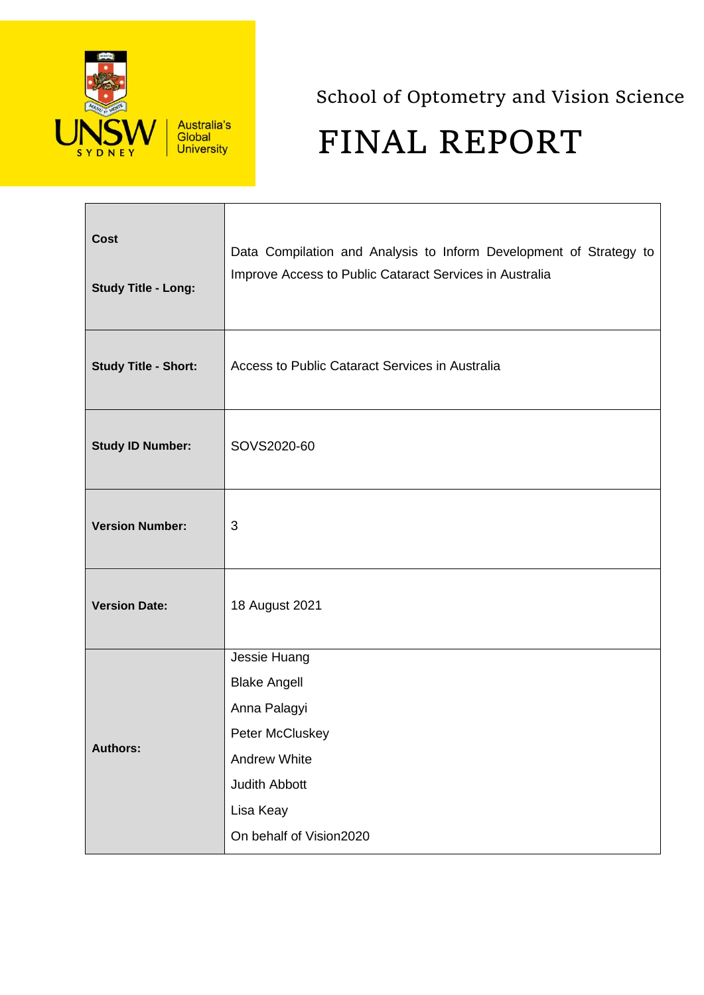

Australia's<br>Global **University** 

School of Optometry and Vision Science FINAL REPORT

| <b>Cost</b><br><b>Study Title - Long:</b> | Data Compilation and Analysis to Inform Development of Strategy to<br>Improve Access to Public Cataract Services in Australia |
|-------------------------------------------|-------------------------------------------------------------------------------------------------------------------------------|
| <b>Study Title - Short:</b>               | Access to Public Cataract Services in Australia                                                                               |
| <b>Study ID Number:</b>                   | SOVS2020-60                                                                                                                   |
| <b>Version Number:</b>                    | 3                                                                                                                             |
| <b>Version Date:</b>                      | 18 August 2021                                                                                                                |
|                                           | Jessie Huang                                                                                                                  |
|                                           | <b>Blake Angell</b><br>Anna Palagyi                                                                                           |
|                                           | Peter McCluskey                                                                                                               |
| <b>Authors:</b>                           | <b>Andrew White</b>                                                                                                           |
|                                           | Judith Abbott                                                                                                                 |
|                                           | Lisa Keay                                                                                                                     |
|                                           | On behalf of Vision2020                                                                                                       |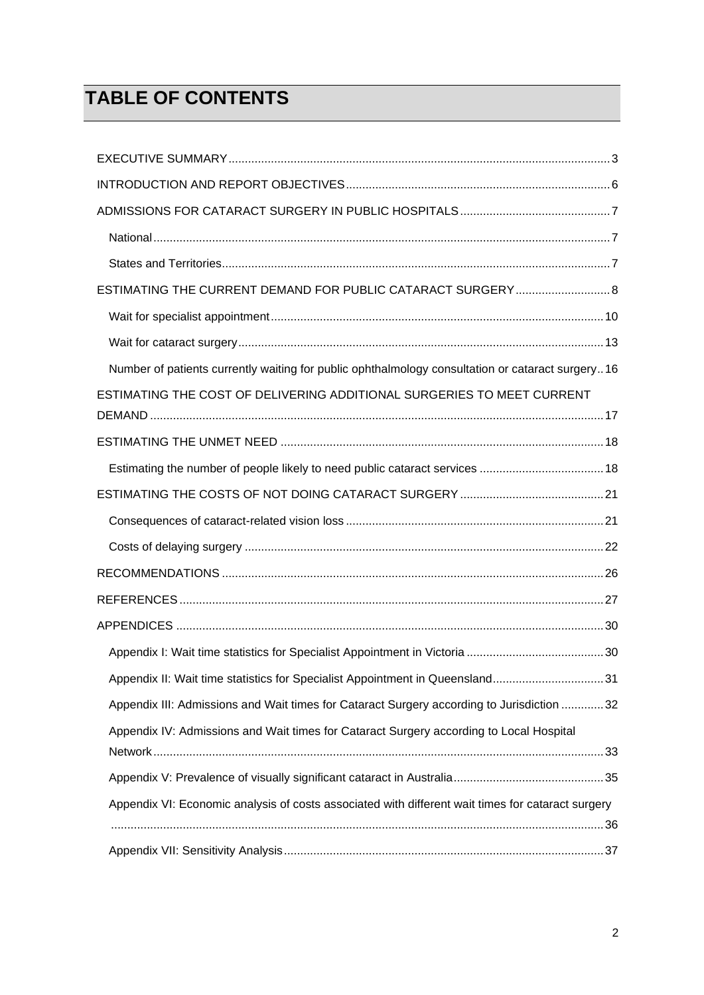# **TABLE OF CONTENTS**

| ESTIMATING THE CURRENT DEMAND FOR PUBLIC CATARACT SURGERY 8                                       |
|---------------------------------------------------------------------------------------------------|
|                                                                                                   |
|                                                                                                   |
| Number of patients currently waiting for public ophthalmology consultation or cataract surgery16  |
| ESTIMATING THE COST OF DELIVERING ADDITIONAL SURGERIES TO MEET CURRENT                            |
|                                                                                                   |
| Estimating the number of people likely to need public cataract services  18                       |
|                                                                                                   |
|                                                                                                   |
|                                                                                                   |
|                                                                                                   |
|                                                                                                   |
|                                                                                                   |
|                                                                                                   |
| Appendix II: Wait time statistics for Specialist Appointment in Queensland31                      |
| Appendix III: Admissions and Wait times for Cataract Surgery according to Jurisdiction  32        |
| Appendix IV: Admissions and Wait times for Cataract Surgery according to Local Hospital           |
|                                                                                                   |
|                                                                                                   |
| Appendix VI: Economic analysis of costs associated with different wait times for cataract surgery |
|                                                                                                   |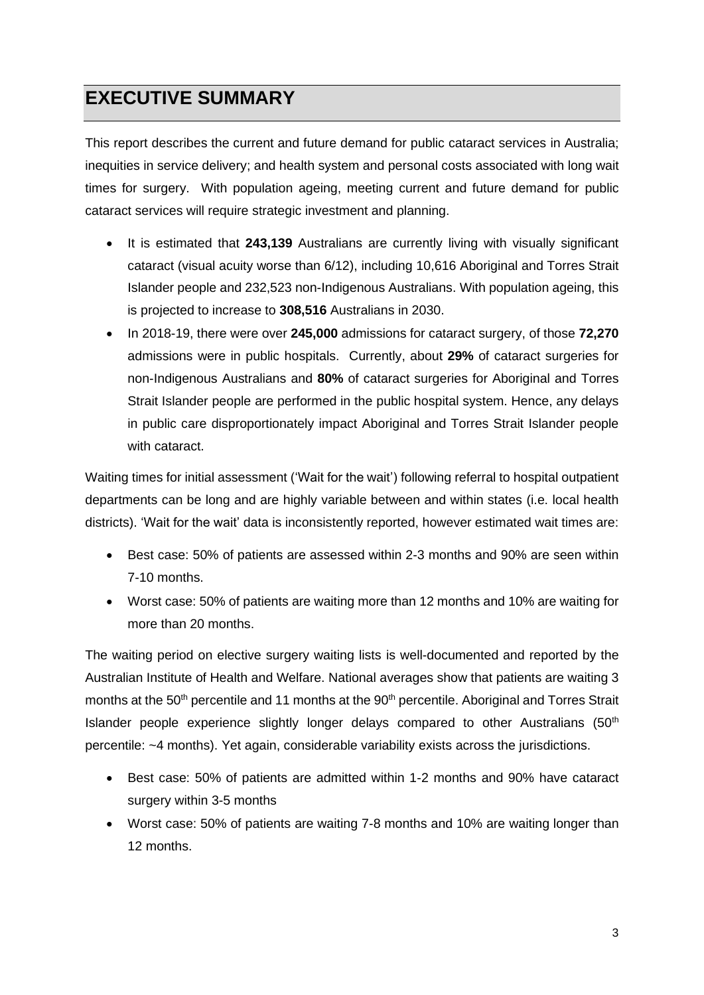## <span id="page-2-0"></span>**EXECUTIVE SUMMARY**

This report describes the current and future demand for public cataract services in Australia; inequities in service delivery; and health system and personal costs associated with long wait times for surgery. With population ageing, meeting current and future demand for public cataract services will require strategic investment and planning.

- It is estimated that **243,139** Australians are currently living with visually significant cataract (visual acuity worse than 6/12), including 10,616 Aboriginal and Torres Strait Islander people and 232,523 non-Indigenous Australians. With population ageing, this is projected to increase to **308,516** Australians in 2030.
- In 2018-19, there were over **245,000** admissions for cataract surgery, of those **72,270** admissions were in public hospitals. Currently, about **29%** of cataract surgeries for non-Indigenous Australians and **80%** of cataract surgeries for Aboriginal and Torres Strait Islander people are performed in the public hospital system. Hence, any delays in public care disproportionately impact Aboriginal and Torres Strait Islander people with cataract.

Waiting times for initial assessment ('Wait for the wait') following referral to hospital outpatient departments can be long and are highly variable between and within states (i.e. local health districts). 'Wait for the wait' data is inconsistently reported, however estimated wait times are:

- Best case: 50% of patients are assessed within 2-3 months and 90% are seen within 7-10 months.
- Worst case: 50% of patients are waiting more than 12 months and 10% are waiting for more than 20 months.

The waiting period on elective surgery waiting lists is well-documented and reported by the Australian Institute of Health and Welfare. National averages show that patients are waiting 3 months at the 50<sup>th</sup> percentile and 11 months at the 90<sup>th</sup> percentile. Aboriginal and Torres Strait Islander people experience slightly longer delays compared to other Australians  $(50<sup>th</sup>$ percentile: ~4 months). Yet again, considerable variability exists across the jurisdictions.

- Best case: 50% of patients are admitted within 1-2 months and 90% have cataract surgery within 3-5 months
- Worst case: 50% of patients are waiting 7-8 months and 10% are waiting longer than 12 months.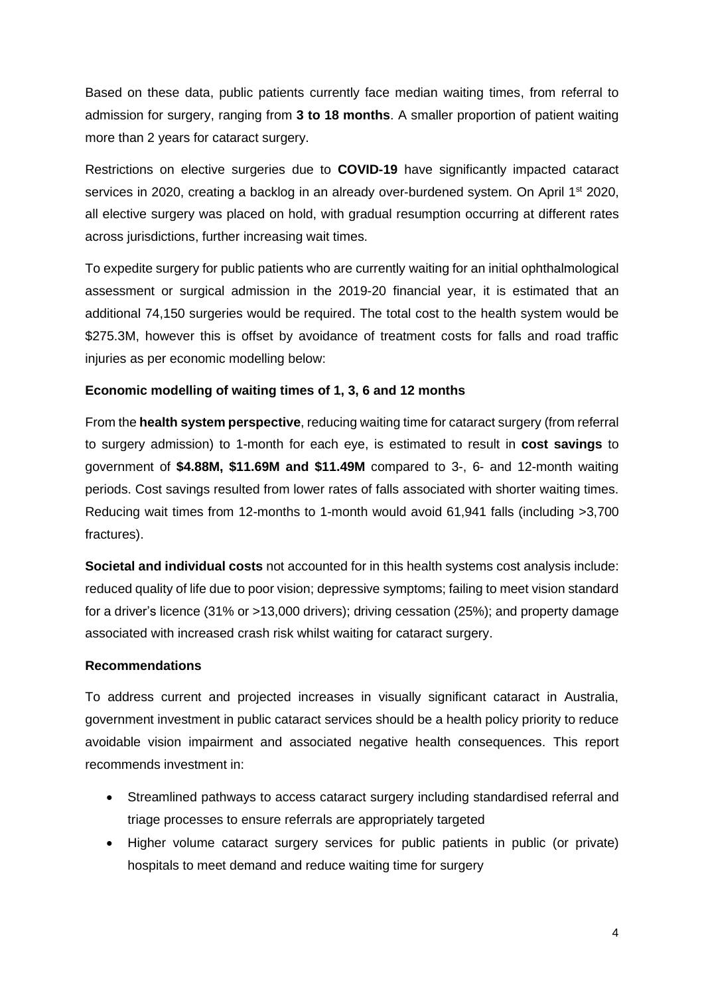Based on these data, public patients currently face median waiting times, from referral to admission for surgery, ranging from **3 to 18 months**. A smaller proportion of patient waiting more than 2 years for cataract surgery.

Restrictions on elective surgeries due to **COVID-19** have significantly impacted cataract services in 2020, creating a backlog in an already over-burdened system. On April 1<sup>st</sup> 2020, all elective surgery was placed on hold, with gradual resumption occurring at different rates across jurisdictions, further increasing wait times.

To expedite surgery for public patients who are currently waiting for an initial ophthalmological assessment or surgical admission in the 2019-20 financial year, it is estimated that an additional 74,150 surgeries would be required. The total cost to the health system would be \$275.3M, however this is offset by avoidance of treatment costs for falls and road traffic injuries as per economic modelling below:

#### **Economic modelling of waiting times of 1, 3, 6 and 12 months**

From the **health system perspective**, reducing waiting time for cataract surgery (from referral to surgery admission) to 1-month for each eye, is estimated to result in **cost savings** to government of **\$4.88M, \$11.69M and \$11.49M** compared to 3-, 6- and 12-month waiting periods. Cost savings resulted from lower rates of falls associated with shorter waiting times. Reducing wait times from 12-months to 1-month would avoid 61,941 falls (including >3,700 fractures).

**Societal and individual costs** not accounted for in this health systems cost analysis include: reduced quality of life due to poor vision; depressive symptoms; failing to meet vision standard for a driver's licence (31% or >13,000 drivers); driving cessation (25%); and property damage associated with increased crash risk whilst waiting for cataract surgery.

#### **Recommendations**

To address current and projected increases in visually significant cataract in Australia, government investment in public cataract services should be a health policy priority to reduce avoidable vision impairment and associated negative health consequences. This report recommends investment in:

- Streamlined pathways to access cataract surgery including standardised referral and triage processes to ensure referrals are appropriately targeted
- Higher volume cataract surgery services for public patients in public (or private) hospitals to meet demand and reduce waiting time for surgery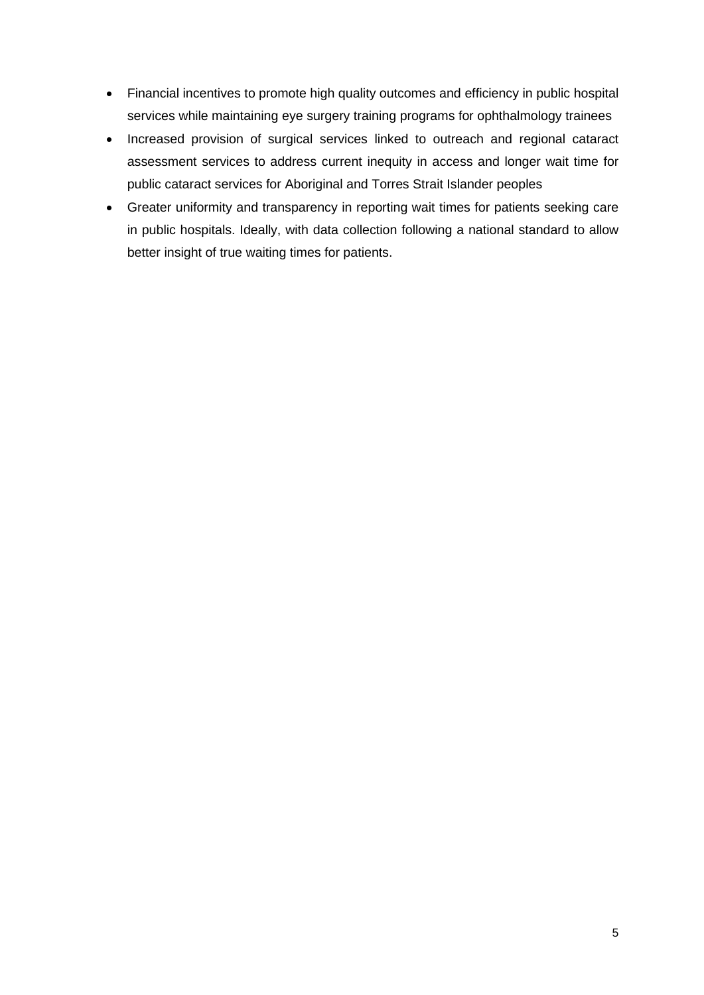- Financial incentives to promote high quality outcomes and efficiency in public hospital services while maintaining eye surgery training programs for ophthalmology trainees
- Increased provision of surgical services linked to outreach and regional cataract assessment services to address current inequity in access and longer wait time for public cataract services for Aboriginal and Torres Strait Islander peoples
- Greater uniformity and transparency in reporting wait times for patients seeking care in public hospitals. Ideally, with data collection following a national standard to allow better insight of true waiting times for patients.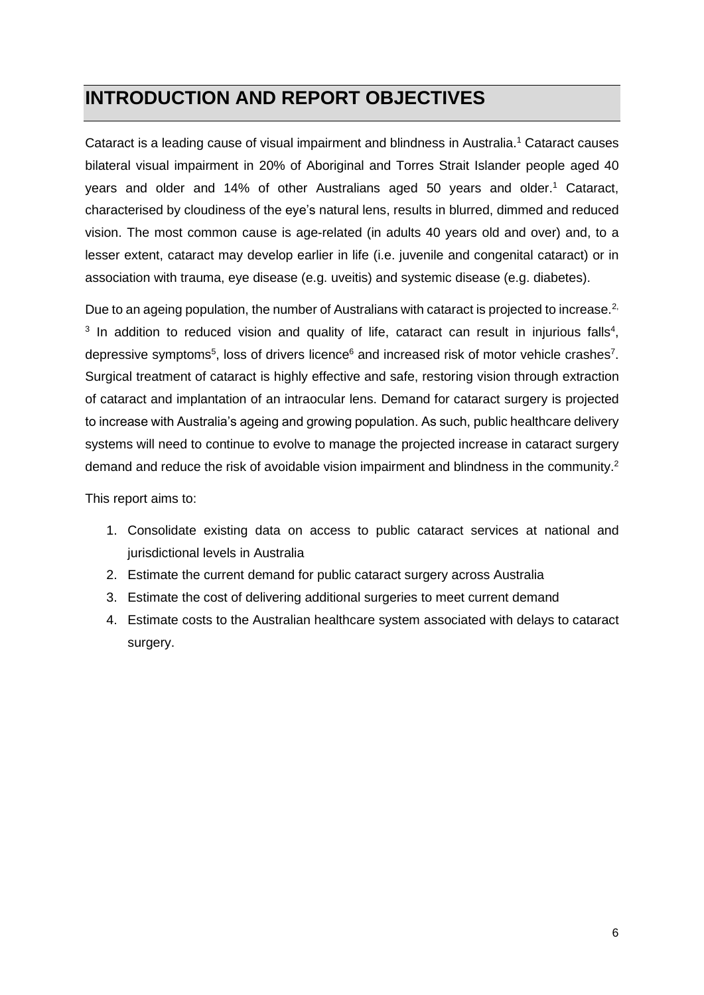## <span id="page-5-0"></span>**INTRODUCTION AND REPORT OBJECTIVES**

Cataract is a leading cause of visual impairment and blindness in Australia. <sup>1</sup> Cataract causes bilateral visual impairment in 20% of Aboriginal and Torres Strait Islander people aged 40 years and older and 14% of other Australians aged 50 years and older. <sup>1</sup> Cataract, characterised by cloudiness of the eye's natural lens, results in blurred, dimmed and reduced vision. The most common cause is age-related (in adults 40 years old and over) and, to a lesser extent, cataract may develop earlier in life (i.e. juvenile and congenital cataract) or in association with trauma, eye disease (e.g. uveitis) and systemic disease (e.g. diabetes).

Due to an ageing population, the number of Australians with cataract is projected to increase.<sup>2,</sup>  $3$  In addition to reduced vision and quality of life, cataract can result in injurious falls<sup>4</sup>, depressive symptoms<sup>5</sup>, loss of drivers licence<sup>6</sup> and increased risk of motor vehicle crashes<sup>7</sup>. Surgical treatment of cataract is highly effective and safe, restoring vision through extraction of cataract and implantation of an intraocular lens. Demand for cataract surgery is projected to increase with Australia's ageing and growing population. As such, public healthcare delivery systems will need to continue to evolve to manage the projected increase in cataract surgery demand and reduce the risk of avoidable vision impairment and blindness in the community.<sup>2</sup>

This report aims to:

- 1. Consolidate existing data on access to public cataract services at national and jurisdictional levels in Australia
- 2. Estimate the current demand for public cataract surgery across Australia
- 3. Estimate the cost of delivering additional surgeries to meet current demand
- 4. Estimate costs to the Australian healthcare system associated with delays to cataract surgery.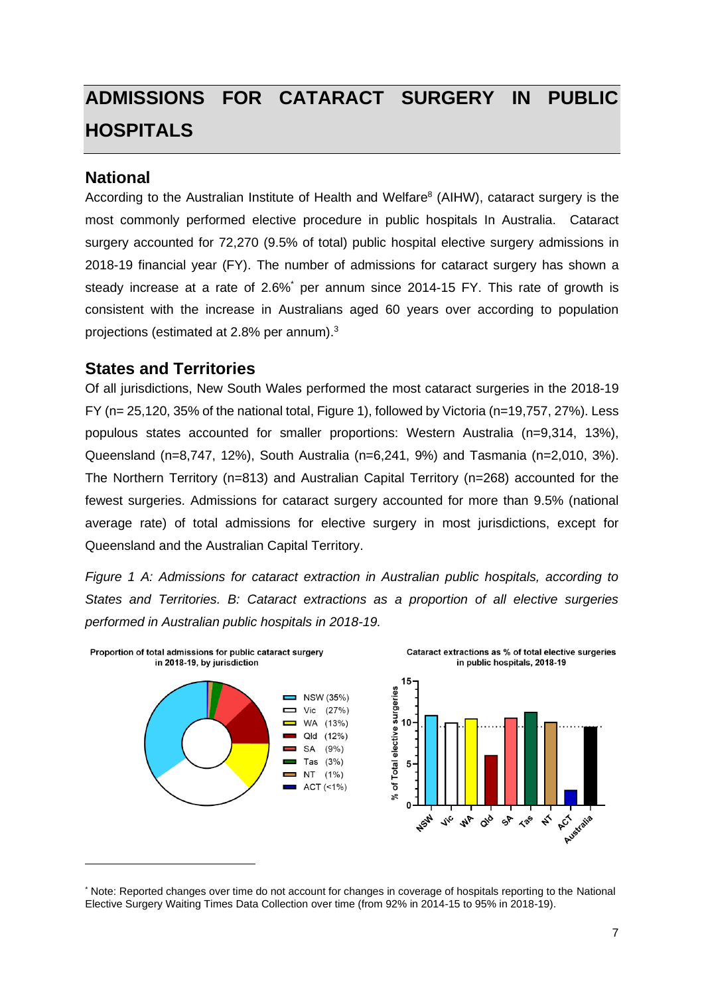# <span id="page-6-0"></span>**ADMISSIONS FOR CATARACT SURGERY IN PUBLIC HOSPITALS**

### <span id="page-6-1"></span>**National**

According to the Australian Institute of Health and Welfare<sup>8</sup> (AIHW), cataract surgery is the most commonly performed elective procedure in public hospitals In Australia. Cataract surgery accounted for 72,270 (9.5% of total) public hospital elective surgery admissions in 2018-19 financial year (FY). The number of admissions for cataract surgery has shown a steady increase at a rate of 2.6%<sup>\*</sup> per annum since 2014-15 FY. This rate of growth is consistent with the increase in Australians aged 60 years over according to population projections (estimated at 2.8% per annum). 3

### <span id="page-6-2"></span>**States and Territories**

Of all jurisdictions, New South Wales performed the most cataract surgeries in the 2018-19 FY (n= 25,120, 35% of the national total, [Figure 1\)](#page-6-3), followed by Victoria (n=19,757, 27%). Less populous states accounted for smaller proportions: Western Australia (n=9,314, 13%), Queensland (n=8,747, 12%), South Australia (n=6,241, 9%) and Tasmania (n=2,010, 3%). The Northern Territory (n=813) and Australian Capital Territory (n=268) accounted for the fewest surgeries. Admissions for cataract surgery accounted for more than 9.5% (national average rate) of total admissions for elective surgery in most jurisdictions, except for Queensland and the Australian Capital Territory.

<span id="page-6-3"></span>*Figure 1 A: Admissions for cataract extraction in Australian public hospitals, according to States and Territories. B: Cataract extractions as a proportion of all elective surgeries performed in Australian public hospitals in 2018-19.*



<sup>\*</sup> Note: Reported changes over time do not account for changes in coverage of hospitals reporting to the National Elective Surgery Waiting Times Data Collection over time (from 92% in 2014-15 to 95% in 2018-19).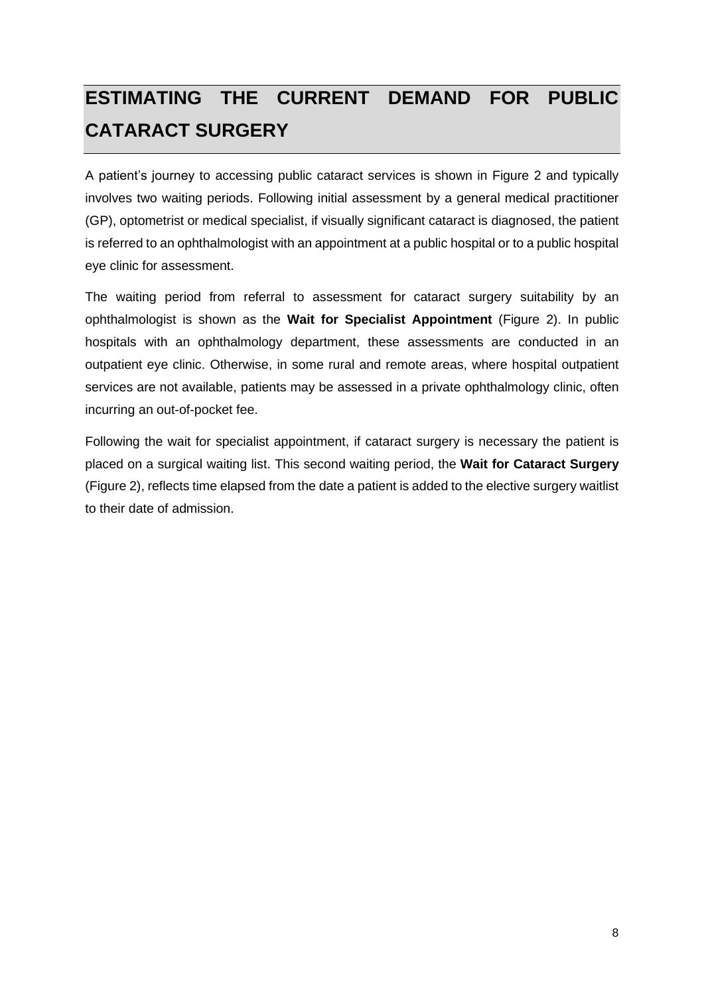# <span id="page-7-0"></span>**ESTIMATING THE CURRENT DEMAND FOR PUBLIC CATARACT SURGERY**

A patient's journey to accessing public cataract services is shown in [Figure 2](#page-8-0) and typically involves two waiting periods. Following initial assessment by a general medical practitioner (GP), optometrist or medical specialist, if visually significant cataract is diagnosed, the patient is referred to an ophthalmologist with an appointment at a public hospital or to a public hospital eye clinic for assessment.

The waiting period from referral to assessment for cataract surgery suitability by an ophthalmologist is shown as the **Wait for Specialist Appointment** [\(Figure 2\)](#page-8-0). In public hospitals with an ophthalmology department, these assessments are conducted in an outpatient eye clinic. Otherwise, in some rural and remote areas, where hospital outpatient services are not available, patients may be assessed in a private ophthalmology clinic, often incurring an out-of-pocket fee.

Following the wait for specialist appointment, if cataract surgery is necessary the patient is placed on a surgical waiting list. This second waiting period, the **Wait for Cataract Surgery** [\(Figure 2\)](#page-8-0), reflects time elapsed from the date a patient is added to the elective surgery waitlist to their date of admission.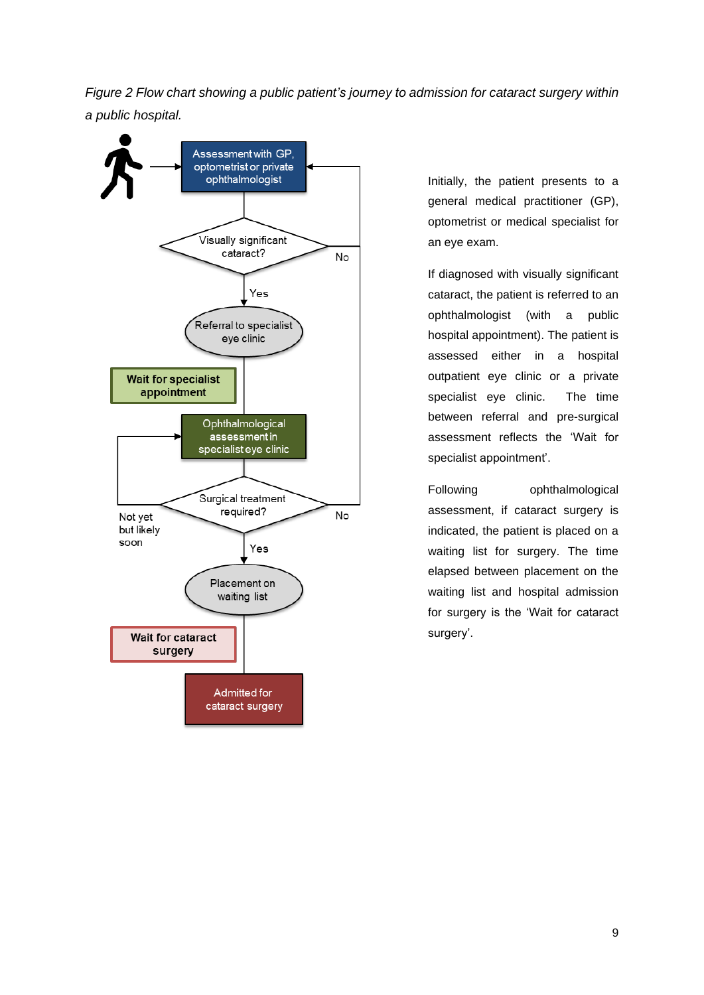<span id="page-8-0"></span>*Figure 2 Flow chart showing a public patient's journey to admission for cataract surgery within a public hospital.*



Initially, the patient presents to a general medical practitioner (GP), optometrist or medical specialist for an eye exam.

If diagnosed with visually significant cataract, the patient is referred to an ophthalmologist (with a public hospital appointment). The patient is assessed either in a hospital outpatient eye clinic or a private specialist eye clinic. The time between referral and pre-surgical assessment reflects the 'Wait for specialist appointment'.

Following ophthalmological assessment, if cataract surgery is indicated, the patient is placed on a waiting list for surgery. The time elapsed between placement on the waiting list and hospital admission for surgery is the 'Wait for cataract surgery'.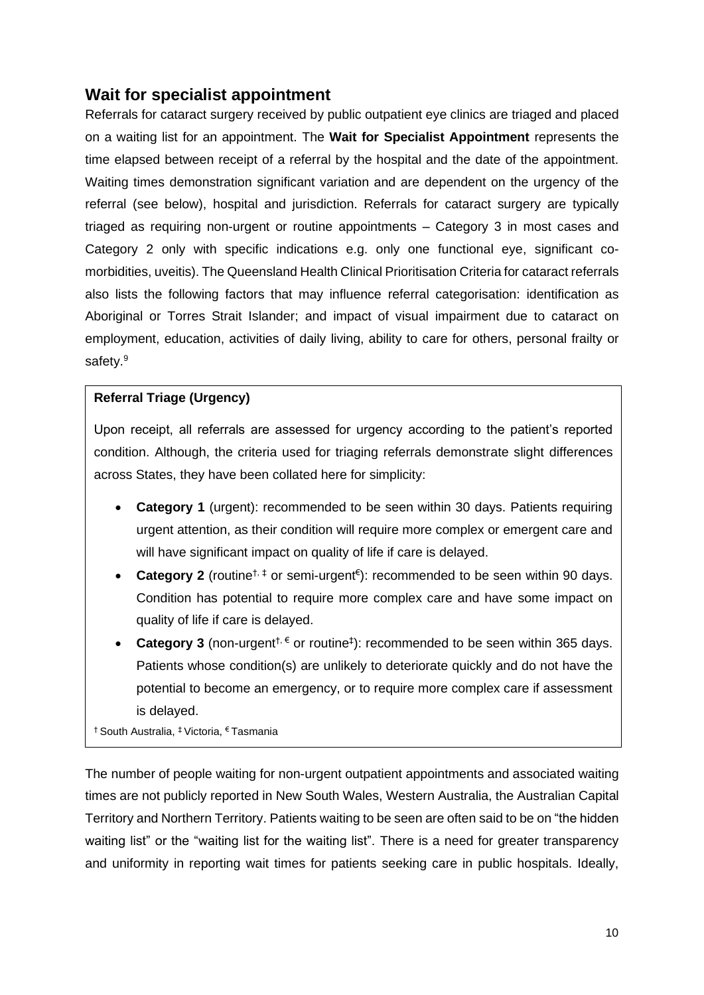### <span id="page-9-0"></span>**Wait for specialist appointment**

Referrals for cataract surgery received by public outpatient eye clinics are triaged and placed on a waiting list for an appointment. The **Wait for Specialist Appointment** represents the time elapsed between receipt of a referral by the hospital and the date of the appointment. Waiting times demonstration significant variation and are dependent on the urgency of the referral (see below), hospital and jurisdiction. Referrals for cataract surgery are typically triaged as requiring non-urgent or routine appointments - Category 3 in most cases and Category 2 only with specific indications e.g. only one functional eye, significant comorbidities, uveitis). The Queensland Health Clinical Prioritisation Criteria for cataract referrals also lists the following factors that may influence referral categorisation: identification as Aboriginal or Torres Strait Islander; and impact of visual impairment due to cataract on employment, education, activities of daily living, ability to care for others, personal frailty or safety.<sup>9</sup>

#### **Referral Triage (Urgency)**

Upon receipt, all referrals are assessed for urgency according to the patient's reported condition. Although, the criteria used for triaging referrals demonstrate slight differences across States, they have been collated here for simplicity:

- **Category 1** (urgent): recommended to be seen within 30 days. Patients requiring urgent attention, as their condition will require more complex or emergent care and will have significant impact on quality of life if care is delayed.
- **Category 2** (routine<sup>†, ‡</sup> or semi-urgent<sup>€</sup>): recommended to be seen within 90 days. Condition has potential to require more complex care and have some impact on quality of life if care is delayed.
- **Category 3** (non-urgent<sup> $\dagger$ ,  $\epsilon$  or routine<sup> $\ddagger$ </sup>): recommended to be seen within 365 days.</sup> Patients whose condition(s) are unlikely to deteriorate quickly and do not have the potential to become an emergency, or to require more complex care if assessment is delayed.

† South Australia, ‡ Victoria, € Tasmania

The number of people waiting for non-urgent outpatient appointments and associated waiting times are not publicly reported in New South Wales, Western Australia, the Australian Capital Territory and Northern Territory. Patients waiting to be seen are often said to be on "the hidden waiting list" or the "waiting list for the waiting list". There is a need for greater transparency and uniformity in reporting wait times for patients seeking care in public hospitals. Ideally,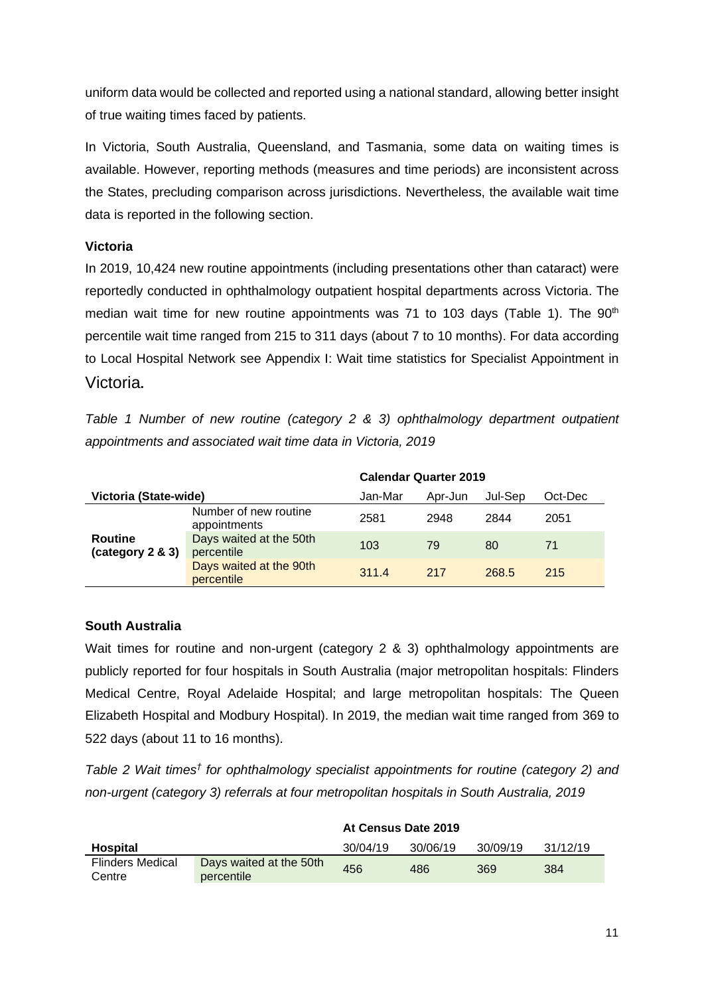uniform data would be collected and reported using a national standard, allowing better insight of true waiting times faced by patients.

In Victoria, South Australia, Queensland, and Tasmania, some data on waiting times is available. However, reporting methods (measures and time periods) are inconsistent across the States, precluding comparison across jurisdictions. Nevertheless, the available wait time data is reported in the following section.

#### **Victoria**

In 2019, 10,424 new routine appointments (including presentations other than cataract) were reportedly conducted in ophthalmology outpatient hospital departments across Victoria. The median wait time for new routine appointments was 71 to 103 days [\(Table 1\)](#page-10-0). The  $90<sup>th</sup>$ percentile wait time ranged from 215 to 311 days (about 7 to 10 months). For data according to Local Hospital Network see Appendix I: Wait time statistics [for Specialist Appointment in](#page-32-1) [Victoria](#page-32-1)**.**

<span id="page-10-0"></span>*Table 1 Number of new routine (category 2 & 3) ophthalmology department outpatient appointments and associated wait time data in Victoria, 2019*

|                                    |                                       | <b>Calendar Quarter 2019</b> |         |         |         |
|------------------------------------|---------------------------------------|------------------------------|---------|---------|---------|
| Victoria (State-wide)              |                                       | Jan-Mar                      | Apr-Jun | Jul-Sep | Oct-Dec |
|                                    | Number of new routine<br>appointments | 2581                         | 2948    | 2844    | 2051    |
| <b>Routine</b><br>(category 2 & 3) | Days waited at the 50th<br>percentile | 103                          | 79      | 80      | 71      |
|                                    | Days waited at the 90th<br>percentile | 311.4                        | 217     | 268.5   | 215     |

#### **South Australia**

Wait times for routine and non-urgent (category 2 & 3) ophthalmology appointments are publicly reported for four hospitals in South Australia (major metropolitan hospitals: Flinders Medical Centre, Royal Adelaide Hospital; and large metropolitan hospitals: The Queen Elizabeth Hospital and Modbury Hospital). In 2019, the median wait time ranged from 369 to 522 days (about 11 to 16 months).

*Table 2 Wait times† for ophthalmology specialist appointments for routine (category 2) and non-urgent (category 3) referrals at four metropolitan hospitals in South Australia, 2019*

|                            |                                       | At Gensus Date 2019 |          |          |          |
|----------------------------|---------------------------------------|---------------------|----------|----------|----------|
| Hospital                   |                                       | 30/04/19            | 30/06/19 | 30/09/19 | 31/12/19 |
| Flinders Medical<br>Centre | Days waited at the 50th<br>percentile | 456                 | 486      | 369      | 384      |

#### **At Census Date 2019**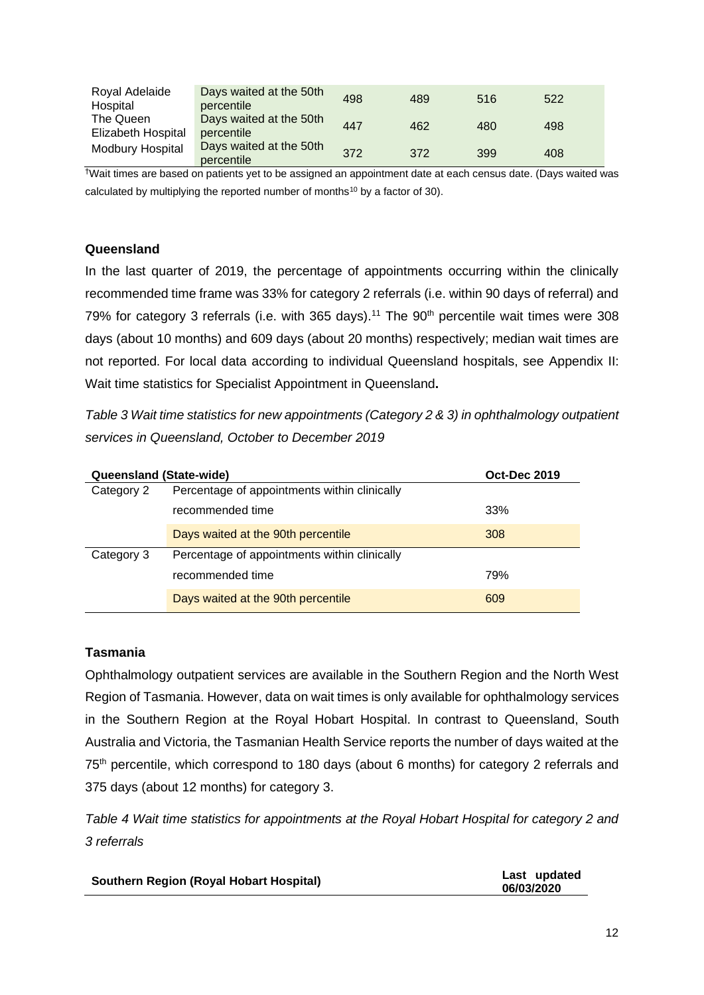| Royal Adelaide          | Days waited at the 50th               | 498 | 489 | 516 | 522 |
|-------------------------|---------------------------------------|-----|-----|-----|-----|
| Hospital                | percentile                            |     |     |     |     |
| The Queen               | Days waited at the 50th               | 447 | 462 | 480 | 498 |
| Elizabeth Hospital      | percentile                            |     |     |     |     |
| <b>Modbury Hospital</b> | Days waited at the 50th<br>percentile | 372 | 372 | 399 | 408 |

†Wait times are based on patients yet to be assigned an appointment date at each census date. (Days waited was calculated by multiplying the reported number of months<sup>10</sup> by a factor of 30).

#### **Queensland**

In the last quarter of 2019, the percentage of appointments occurring within the clinically recommended time frame was 33% for category 2 referrals (i.e. within 90 days of referral) and 79% for category 3 referrals (i.e. with 365 days).<sup>11</sup> The  $90<sup>th</sup>$  percentile wait times were 308 days (about 10 months) and 609 days (about 20 months) respectively; median wait times are not reported. For local data according to individual Queensland hospitals, see [Appendix II:](#page-33-0)  [Wait time statistics for Specialist Appointment in Queensland](#page-33-0)**.**

*Table 3 Wait time statistics for new appointments (Category 2 & 3) in ophthalmology outpatient services in Queensland, October to December 2019*

| Queensland (State-wide) |                                              | <b>Oct-Dec 2019</b> |
|-------------------------|----------------------------------------------|---------------------|
| Category 2              | Percentage of appointments within clinically |                     |
|                         | recommended time                             | 33%                 |
|                         | Days waited at the 90th percentile           | 308                 |
| Category 3              | Percentage of appointments within clinically |                     |
|                         | recommended time                             | 79%                 |
|                         | Days waited at the 90th percentile           | 609                 |

#### **Tasmania**

Ophthalmology outpatient services are available in the Southern Region and the North West Region of Tasmania. However, data on wait times is only available for ophthalmology services in the Southern Region at the Royal Hobart Hospital. In contrast to Queensland, South Australia and Victoria, the Tasmanian Health Service reports the number of days waited at the 75<sup>th</sup> percentile, which correspond to 180 days (about 6 months) for category 2 referrals and 375 days (about 12 months) for category 3.

*Table 4 Wait time statistics for appointments at the Royal Hobart Hospital for category 2 and 3 referrals*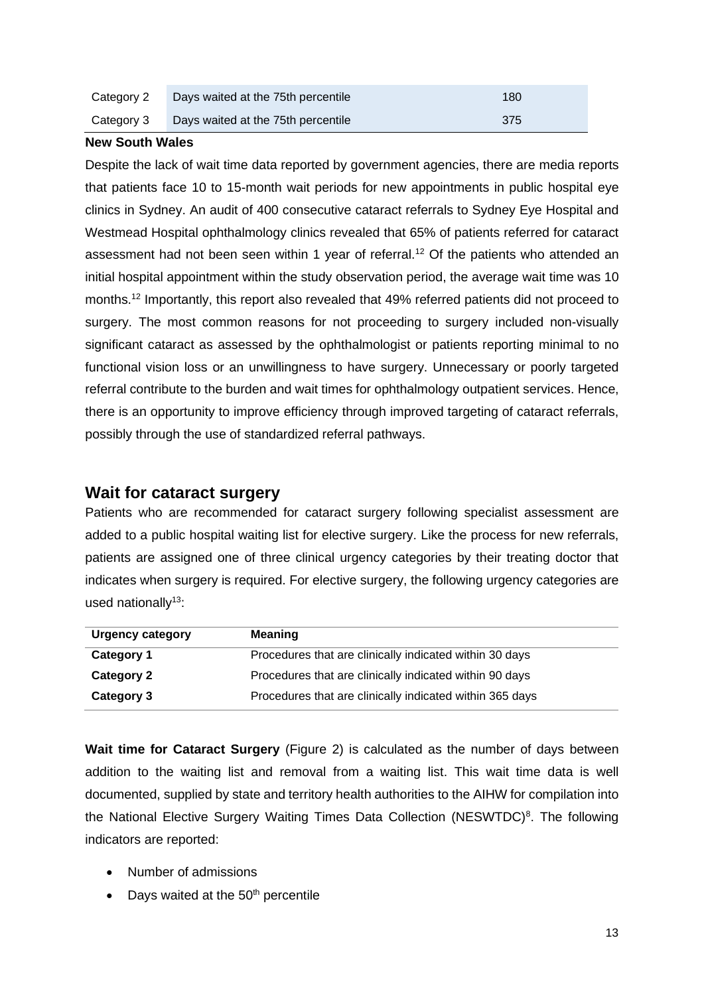| Category 2 | Days waited at the 75th percentile | 180 |
|------------|------------------------------------|-----|
| Category 3 | Days waited at the 75th percentile | 375 |

#### **New South Wales**

Despite the lack of wait time data reported by government agencies, there are media reports that patients face 10 to 15-month wait periods for new appointments in public hospital eye clinics in Sydney. An audit of 400 consecutive cataract referrals to Sydney Eye Hospital and Westmead Hospital ophthalmology clinics revealed that 65% of patients referred for cataract assessment had not been seen within 1 year of referral.<sup>12</sup> Of the patients who attended an initial hospital appointment within the study observation period, the average wait time was 10 months.<sup>12</sup> Importantly, this report also revealed that 49% referred patients did not proceed to surgery. The most common reasons for not proceeding to surgery included non-visually significant cataract as assessed by the ophthalmologist or patients reporting minimal to no functional vision loss or an unwillingness to have surgery. Unnecessary or poorly targeted referral contribute to the burden and wait times for ophthalmology outpatient services. Hence, there is an opportunity to improve efficiency through improved targeting of cataract referrals, possibly through the use of standardized referral pathways.

#### <span id="page-12-0"></span>**Wait for cataract surgery**

Patients who are recommended for cataract surgery following specialist assessment are added to a public hospital waiting list for elective surgery. Like the process for new referrals, patients are assigned one of three clinical urgency categories by their treating doctor that indicates when surgery is required. For elective surgery, the following urgency categories are used nationally<sup>13</sup>:

| <b>Urgency category</b> | <b>Meaning</b>                                           |
|-------------------------|----------------------------------------------------------|
| Category 1              | Procedures that are clinically indicated within 30 days  |
| <b>Category 2</b>       | Procedures that are clinically indicated within 90 days  |
| Category 3              | Procedures that are clinically indicated within 365 days |

**Wait time for Cataract Surgery** [\(Figure 2\)](#page-8-0) is calculated as the number of days between addition to the waiting list and removal from a waiting list. This wait time data is well documented, supplied by state and territory health authorities to the AIHW for compilation into the National Elective Surgery Waiting Times Data Collection (NESWTDC)<sup>8</sup>. The following indicators are reported:

- Number of admissions
- Days waited at the  $50<sup>th</sup>$  percentile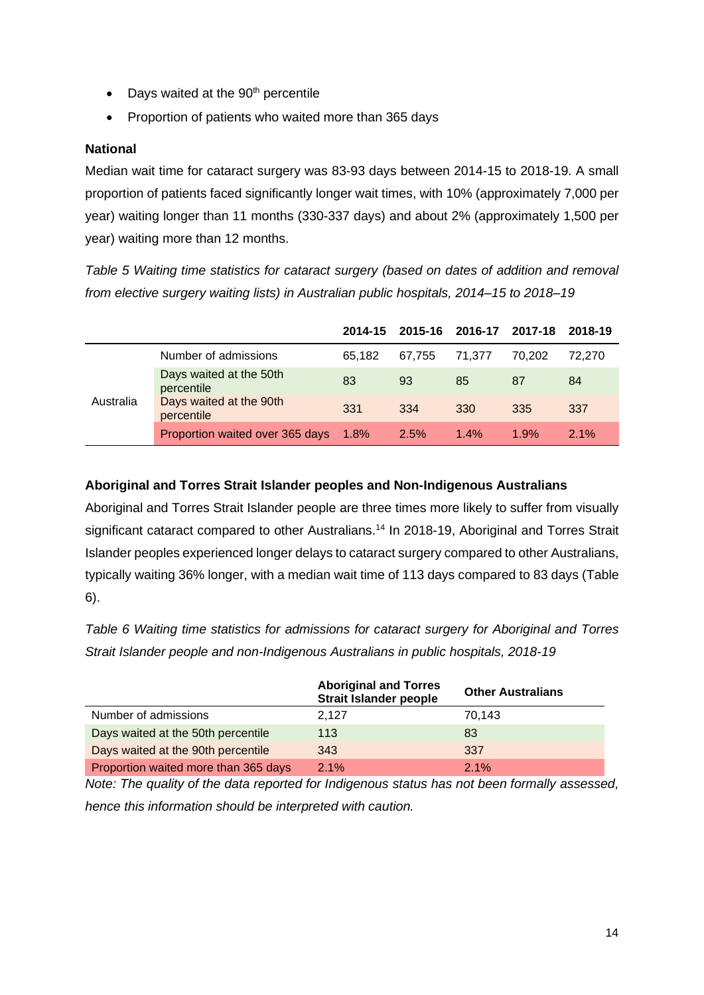- Days waited at the  $90<sup>th</sup>$  percentile
- Proportion of patients who waited more than 365 days

#### **National**

Median wait time for cataract surgery was 83-93 days between 2014-15 to 2018-19. A small proportion of patients faced significantly longer wait times, with 10% (approximately 7,000 per year) waiting longer than 11 months (330-337 days) and about 2% (approximately 1,500 per year) waiting more than 12 months.

*Table 5 Waiting time statistics for cataract surgery (based on dates of addition and removal from elective surgery waiting lists) in Australian public hospitals, 2014–15 to 2018–19*

|           |                                       |         | 2014-15 2015-16 2016-17 2017-18 |         |        | 2018-19 |
|-----------|---------------------------------------|---------|---------------------------------|---------|--------|---------|
|           | Number of admissions                  | 65.182  | 67.755                          | 71.377  | 70.202 | 72.270  |
|           | Days waited at the 50th<br>percentile | 83      | 93                              | 85      | 87     | 84      |
| Australia | Days waited at the 90th<br>percentile | 331     | 334                             | 330     | 335    | 337     |
|           | Proportion waited over 365 days       | $1.8\%$ | 2.5%                            | $1.4\%$ | 1.9%   | 2.1%    |

#### **Aboriginal and Torres Strait Islander peoples and Non-Indigenous Australians**

Aboriginal and Torres Strait Islander people are three times more likely to suffer from visually significant cataract compared to other Australians.<sup>14</sup> In 2018-19, Aboriginal and Torres Strait Islander peoples experienced longer delays to cataract surgery compared to other Australians, typically waiting 36% longer, with a median wait time of 113 days compared to 83 days [\(Table](#page-13-0)  [6\)](#page-13-0).

<span id="page-13-0"></span>*Table 6 Waiting time statistics for admissions for cataract surgery for Aboriginal and Torres Strait Islander people and non-Indigenous Australians in public hospitals, 2018-19*

|                                      | <b>Aboriginal and Torres</b><br><b>Strait Islander people</b> | <b>Other Australians</b> |
|--------------------------------------|---------------------------------------------------------------|--------------------------|
| Number of admissions                 | 2.127                                                         | 70.143                   |
| Days waited at the 50th percentile   | 113                                                           | 83                       |
| Days waited at the 90th percentile   | 343                                                           | 337                      |
| Proportion waited more than 365 days | 2.1%                                                          | 2.1%                     |

*Note: The quality of the data reported for Indigenous status has not been formally assessed, hence this information should be interpreted with caution.*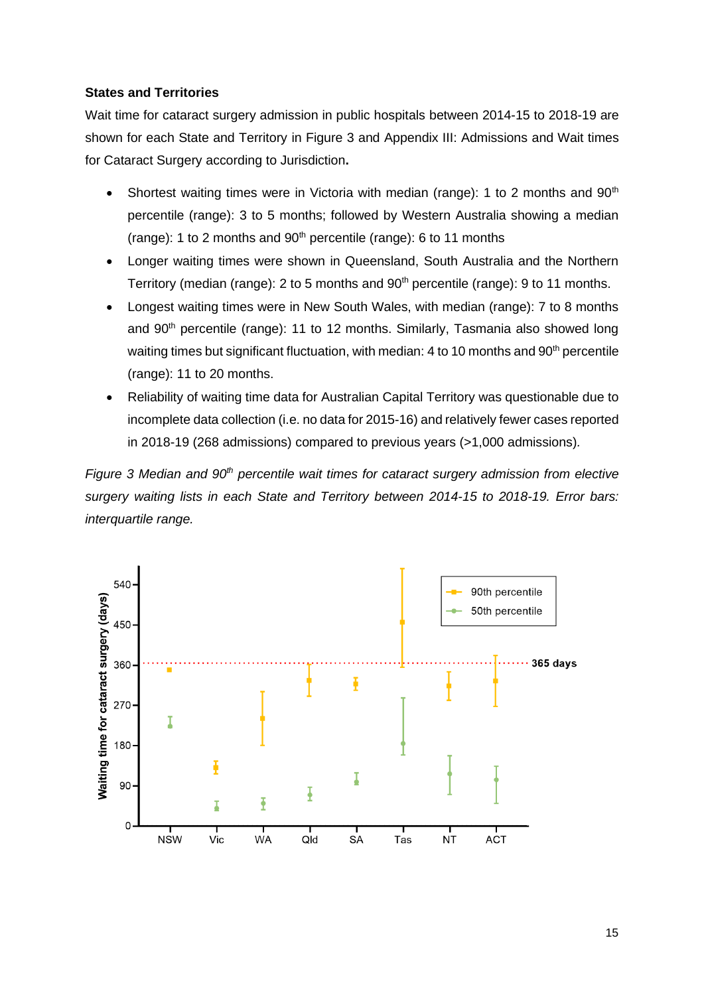#### **States and Territories**

Wait time for cataract surgery admission in public hospitals between 2014-15 to 2018-19 are shown for each State and Territory in [Figure 3](#page-14-0) and Appendix III: Admissions and Wait times [for Cataract Surgery according to Jurisdiction](#page-34-0)**.**

- Shortest waiting times were in Victoria with median (range): 1 to 2 months and  $90<sup>th</sup>$ percentile (range): 3 to 5 months; followed by Western Australia showing a median (range): 1 to 2 months and  $90<sup>th</sup>$  percentile (range): 6 to 11 months
- Longer waiting times were shown in Queensland, South Australia and the Northern Territory (median (range): 2 to 5 months and  $90<sup>th</sup>$  percentile (range): 9 to 11 months.
- Longest waiting times were in New South Wales, with median (range): 7 to 8 months and 90<sup>th</sup> percentile (range): 11 to 12 months. Similarly, Tasmania also showed long waiting times but significant fluctuation, with median: 4 to 10 months and  $90<sup>th</sup>$  percentile (range): 11 to 20 months.
- Reliability of waiting time data for Australian Capital Territory was questionable due to incomplete data collection (i.e. no data for 2015-16) and relatively fewer cases reported in 2018-19 (268 admissions) compared to previous years (>1,000 admissions)*.*

<span id="page-14-0"></span>*Figure 3 Median and 90th percentile wait times for cataract surgery admission from elective surgery waiting lists in each State and Territory between 2014-15 to 2018-19. Error bars: interquartile range.*

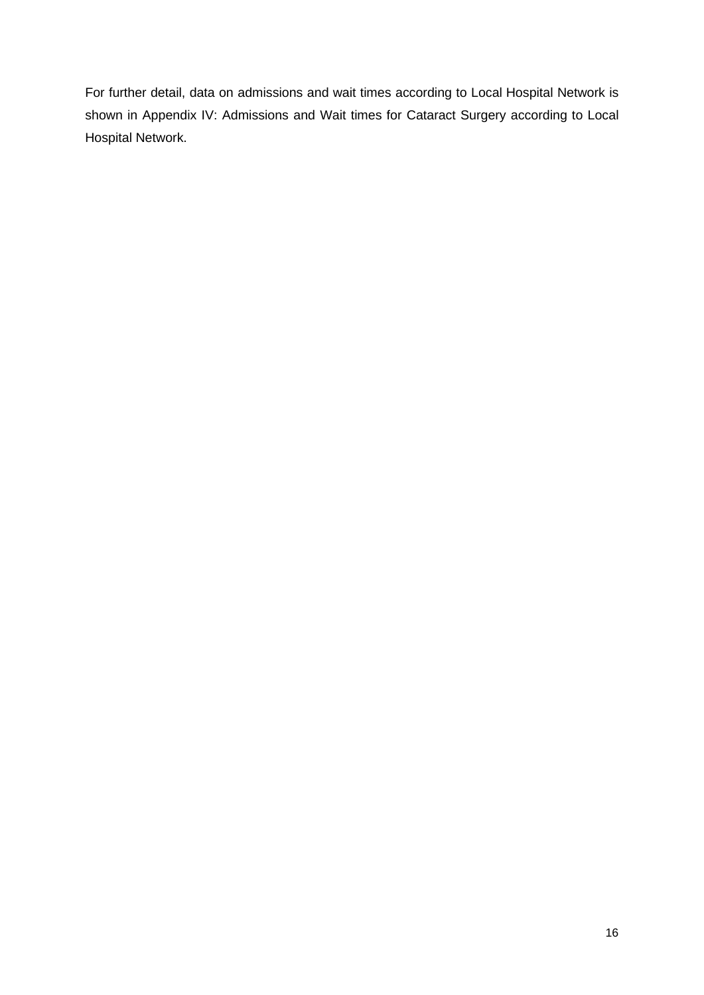For further detail, data on admissions and wait times according to Local Hospital Network is shown in [Appendix IV: Admissions and Wait times for Cataract Surgery according to Local](#page-35-0)  [Hospital Network.](#page-35-0)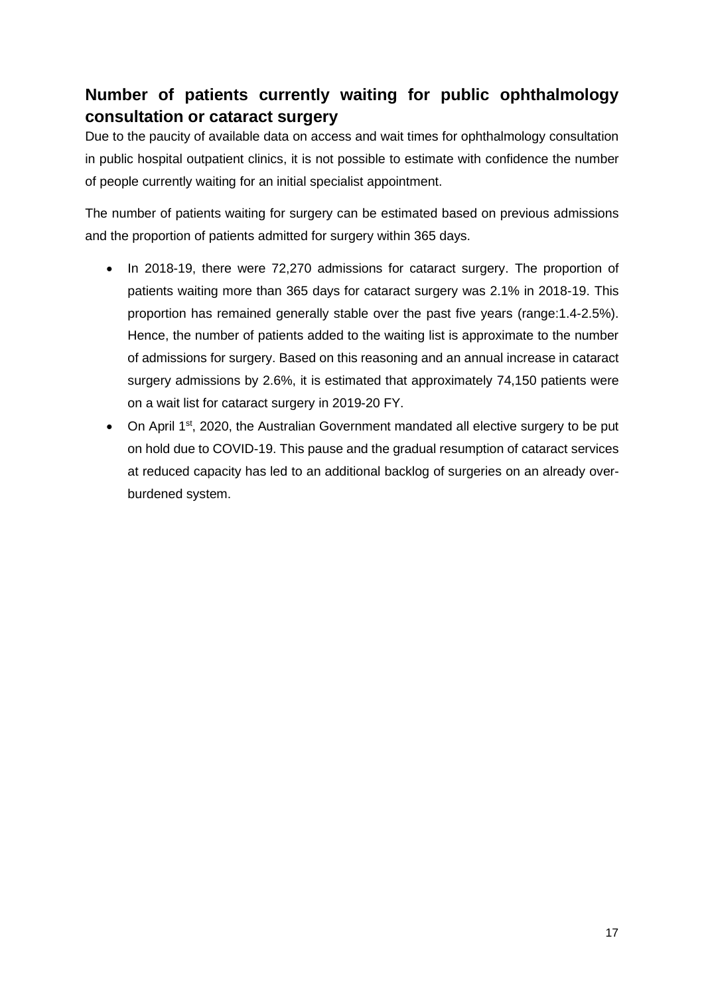## <span id="page-16-0"></span>**Number of patients currently waiting for public ophthalmology consultation or cataract surgery**

Due to the paucity of available data on access and wait times for ophthalmology consultation in public hospital outpatient clinics, it is not possible to estimate with confidence the number of people currently waiting for an initial specialist appointment.

The number of patients waiting for surgery can be estimated based on previous admissions and the proportion of patients admitted for surgery within 365 days.

- In 2018-19, there were 72,270 admissions for cataract surgery. The proportion of patients waiting more than 365 days for cataract surgery was 2.1% in 2018-19. This proportion has remained generally stable over the past five years (range:1.4-2.5%). Hence, the number of patients added to the waiting list is approximate to the number of admissions for surgery. Based on this reasoning and an annual increase in cataract surgery admissions by 2.6%, it is estimated that approximately 74,150 patients were on a wait list for cataract surgery in 2019-20 FY.
- On April 1<sup>st</sup>, 2020, the Australian Government mandated all elective surgery to be put on hold due to COVID-19. This pause and the gradual resumption of cataract services at reduced capacity has led to an additional backlog of surgeries on an already overburdened system.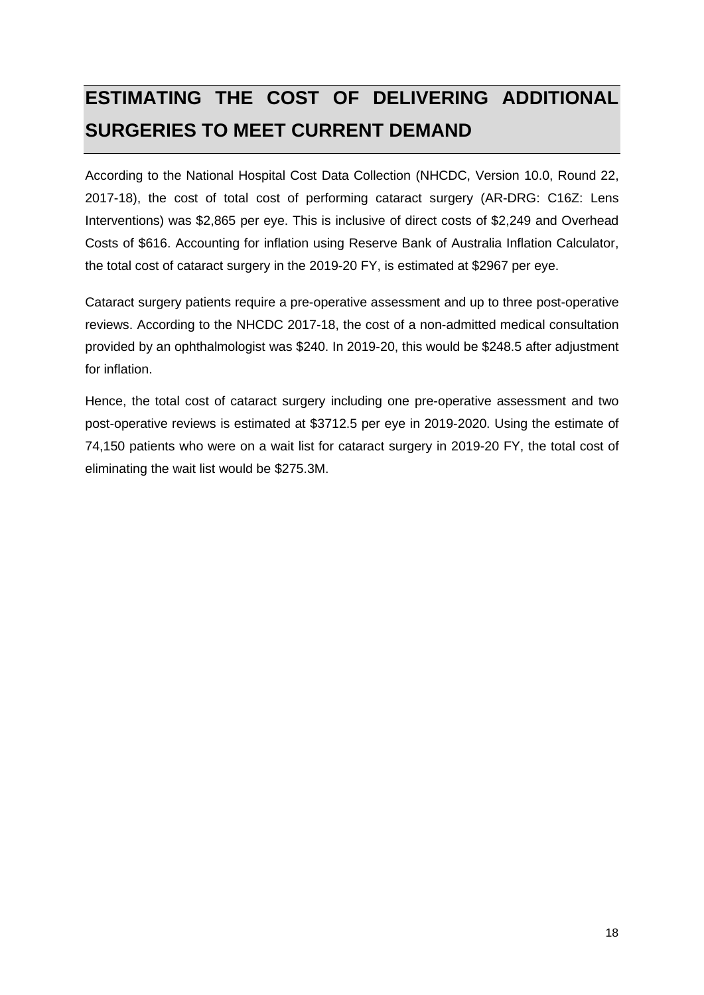# <span id="page-17-0"></span>**ESTIMATING THE COST OF DELIVERING ADDITIONAL SURGERIES TO MEET CURRENT DEMAND**

According to the National Hospital Cost Data Collection (NHCDC, Version 10.0, Round 22, 2017-18), the cost of total cost of performing cataract surgery (AR-DRG: C16Z: Lens Interventions) was \$2,865 per eye. This is inclusive of direct costs of \$2,249 and Overhead Costs of \$616. Accounting for inflation using Reserve Bank of Australia Inflation Calculator, the total cost of cataract surgery in the 2019-20 FY, is estimated at \$2967 per eye.

Cataract surgery patients require a pre-operative assessment and up to three post-operative reviews. According to the NHCDC 2017-18, the cost of a non-admitted medical consultation provided by an ophthalmologist was \$240. In 2019-20, this would be \$248.5 after adjustment for inflation.

Hence, the total cost of cataract surgery including one pre-operative assessment and two post-operative reviews is estimated at \$3712.5 per eye in 2019-2020. Using the estimate of 74,150 patients who were on a wait list for cataract surgery in 2019-20 FY, the total cost of eliminating the wait list would be \$275.3M.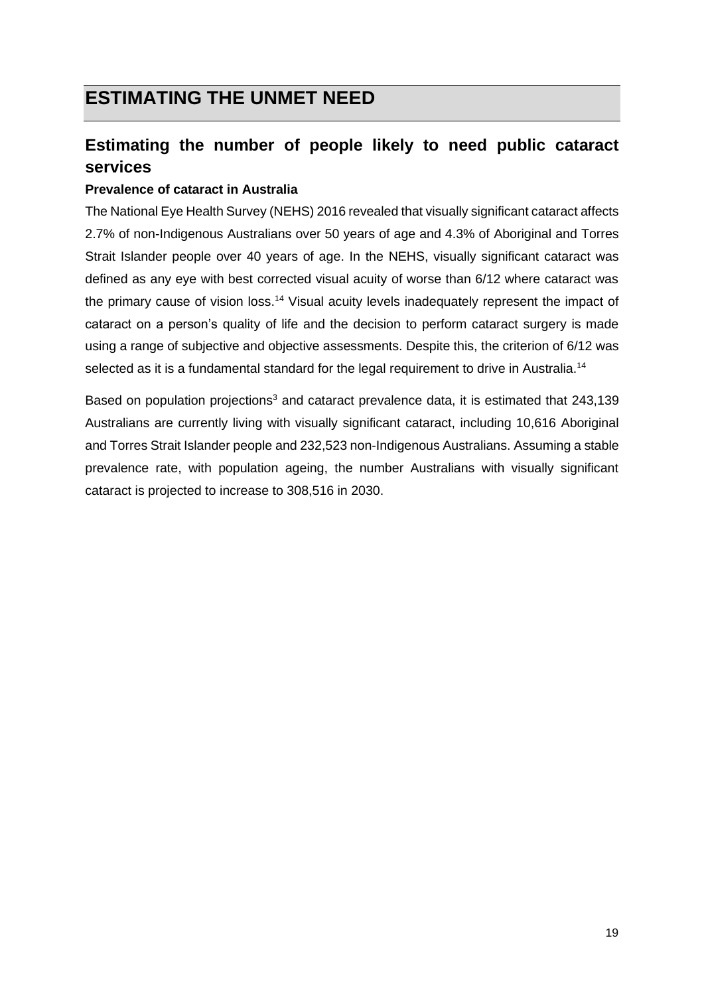## <span id="page-18-0"></span>**ESTIMATING THE UNMET NEED**

## <span id="page-18-1"></span>**Estimating the number of people likely to need public cataract services**

#### **Prevalence of cataract in Australia**

The National Eye Health Survey (NEHS) 2016 revealed that visually significant cataract affects 2.7% of non-Indigenous Australians over 50 years of age and 4.3% of Aboriginal and Torres Strait Islander people over 40 years of age. In the NEHS, visually significant cataract was defined as any eye with best corrected visual acuity of worse than 6/12 where cataract was the primary cause of vision loss.<sup>14</sup> Visual acuity levels inadequately represent the impact of cataract on a person's quality of life and the decision to perform cataract surgery is made using a range of subjective and objective assessments. Despite this, the criterion of 6/12 was selected as it is a fundamental standard for the legal requirement to drive in Australia.<sup>14</sup>

Based on population projections<sup>3</sup> and cataract prevalence data, it is estimated that 243,139 Australians are currently living with visually significant cataract, including 10,616 Aboriginal and Torres Strait Islander people and 232,523 non-Indigenous Australians. Assuming a stable prevalence rate, with population ageing, the number Australians with visually significant cataract is projected to increase to 308,516 in 2030.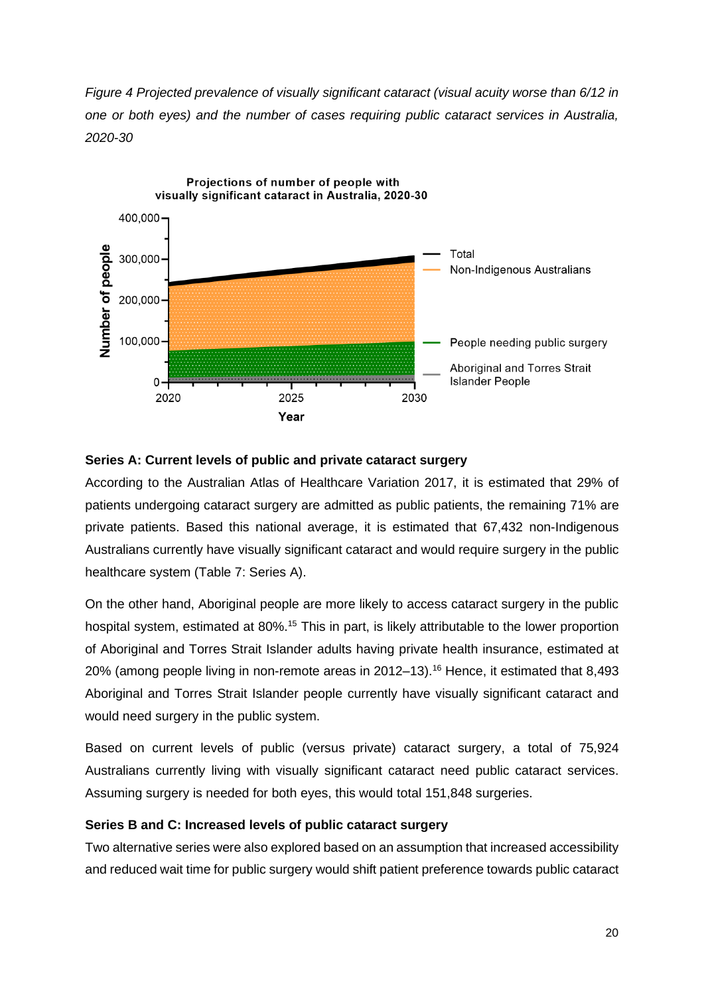*Figure 4 Projected prevalence of visually significant cataract (visual acuity worse than 6/12 in one or both eyes) and the number of cases requiring public cataract services in Australia, 2020-30*



#### **Series A: Current levels of public and private cataract surgery**

According to the Australian Atlas of Healthcare Variation 2017, it is estimated that 29% of patients undergoing cataract surgery are admitted as public patients, the remaining 71% are private patients. Based this national average, it is estimated that 67,432 non-Indigenous Australians currently have visually significant cataract and would require surgery in the public healthcare system [\(Table 7:](#page-20-0) Series A).

On the other hand, Aboriginal people are more likely to access cataract surgery in the public hospital system, estimated at 80%.<sup>15</sup> This in part, is likely attributable to the lower proportion of Aboriginal and Torres Strait Islander adults having private health insurance, estimated at 20% (among people living in non-remote areas in 2012–13). <sup>16</sup> Hence, it estimated that 8,493 Aboriginal and Torres Strait Islander people currently have visually significant cataract and would need surgery in the public system.

Based on current levels of public (versus private) cataract surgery, a total of 75,924 Australians currently living with visually significant cataract need public cataract services. Assuming surgery is needed for both eyes, this would total 151,848 surgeries.

#### **Series B and C: Increased levels of public cataract surgery**

Two alternative series were also explored based on an assumption that increased accessibility and reduced wait time for public surgery would shift patient preference towards public cataract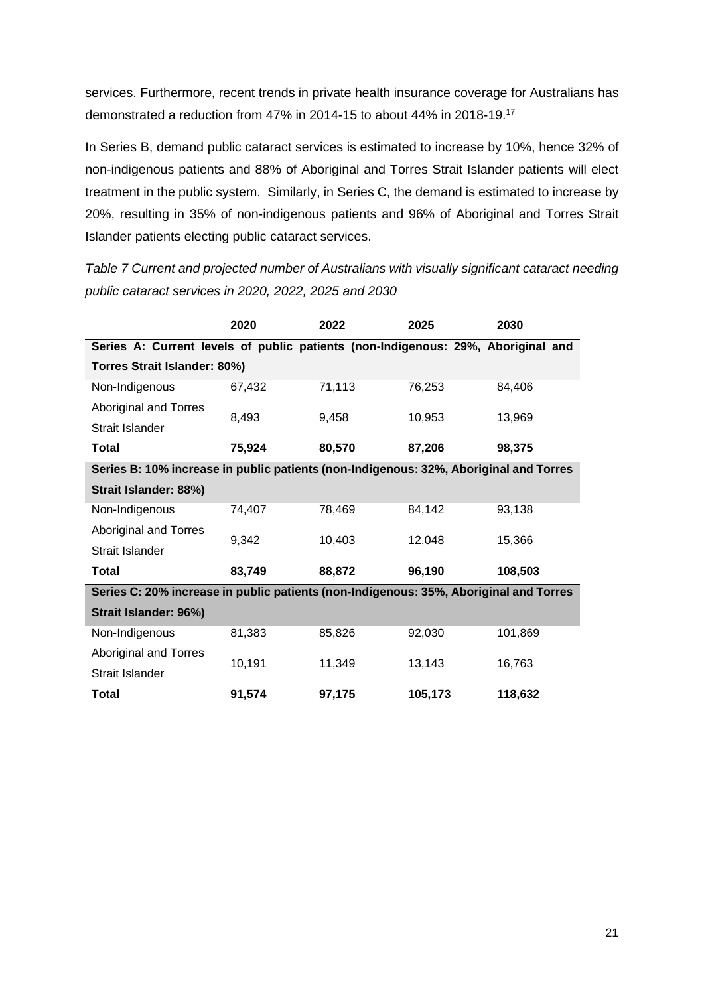services. Furthermore, recent trends in private health insurance coverage for Australians has demonstrated a reduction from 47% in 2014-15 to about 44% in 2018-19. 17

In Series B, demand public cataract services is estimated to increase by 10%, hence 32% of non-indigenous patients and 88% of Aboriginal and Torres Strait Islander patients will elect treatment in the public system. Similarly, in Series C, the demand is estimated to increase by 20%, resulting in 35% of non-indigenous patients and 96% of Aboriginal and Torres Strait Islander patients electing public cataract services.

<span id="page-20-0"></span>*Table 7 Current and projected number of Australians with visually significant cataract needing public cataract services in 2020, 2022, 2025 and 2030*

|                                                                                       | 2020   | 2022   | 2025    | 2030    |  |  |  |
|---------------------------------------------------------------------------------------|--------|--------|---------|---------|--|--|--|
| Series A: Current levels of public patients (non-Indigenous: 29%, Aboriginal and      |        |        |         |         |  |  |  |
| Torres Strait Islander: 80%)                                                          |        |        |         |         |  |  |  |
| Non-Indigenous                                                                        | 67,432 | 71,113 | 76,253  | 84,406  |  |  |  |
| <b>Aboriginal and Torres</b>                                                          | 8,493  | 9.458  | 10,953  | 13,969  |  |  |  |
| Strait Islander                                                                       |        |        |         |         |  |  |  |
| Total                                                                                 | 75,924 | 80,570 | 87,206  | 98,375  |  |  |  |
| Series B: 10% increase in public patients (non-Indigenous: 32%, Aboriginal and Torres |        |        |         |         |  |  |  |
| Strait Islander: 88%)                                                                 |        |        |         |         |  |  |  |
| Non-Indigenous                                                                        | 74,407 | 78,469 | 84,142  | 93,138  |  |  |  |
| <b>Aboriginal and Torres</b>                                                          | 9,342  | 10,403 | 12,048  | 15,366  |  |  |  |
| Strait Islander                                                                       |        |        |         |         |  |  |  |
| Total                                                                                 | 83,749 | 88,872 | 96,190  | 108,503 |  |  |  |
| Series C: 20% increase in public patients (non-Indigenous: 35%, Aboriginal and Torres |        |        |         |         |  |  |  |
| Strait Islander: 96%)                                                                 |        |        |         |         |  |  |  |
| Non-Indigenous                                                                        | 81,383 | 85,826 | 92,030  | 101,869 |  |  |  |
| <b>Aboriginal and Torres</b>                                                          | 10,191 | 11,349 | 13,143  | 16,763  |  |  |  |
| Strait Islander                                                                       |        |        |         |         |  |  |  |
| Total                                                                                 | 91,574 | 97,175 | 105,173 | 118,632 |  |  |  |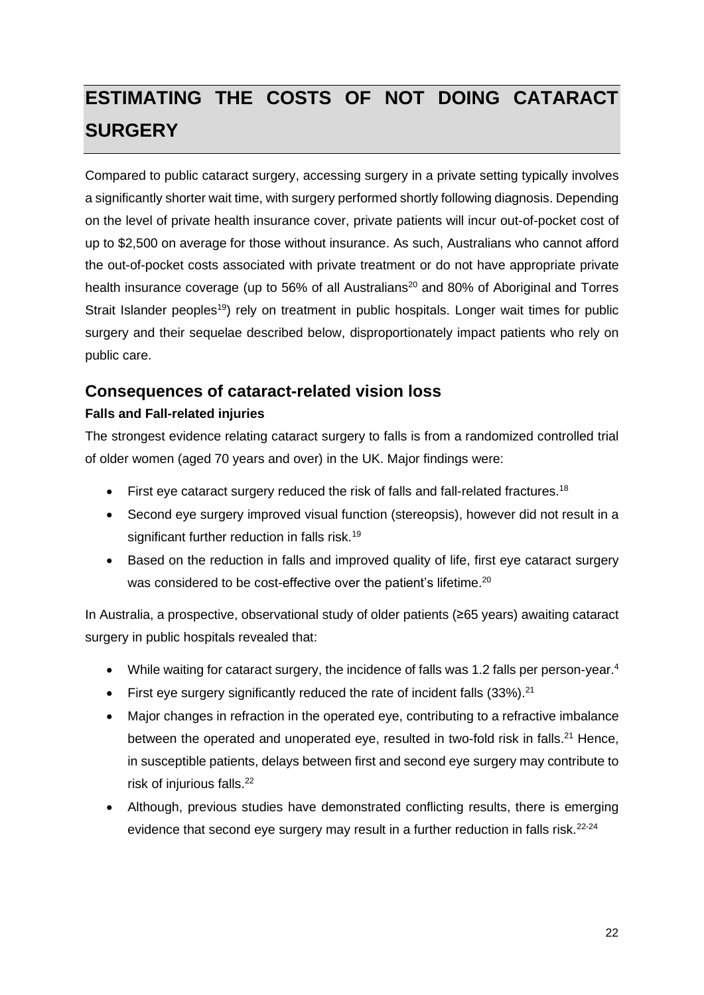# <span id="page-21-0"></span>**ESTIMATING THE COSTS OF NOT DOING CATARACT SURGERY**

Compared to public cataract surgery, accessing surgery in a private setting typically involves a significantly shorter wait time, with surgery performed shortly following diagnosis. Depending on the level of private health insurance cover, private patients will incur out-of-pocket cost of up to \$2,500 on average for those without insurance. As such, Australians who cannot afford the out-of-pocket costs associated with private treatment or do not have appropriate private health insurance coverage (up to 56% of all Australians<sup>20</sup> and 80% of Aboriginal and Torres Strait Islander peoples<sup>19</sup>) rely on treatment in public hospitals. Longer wait times for public surgery and their sequelae described below, disproportionately impact patients who rely on public care.

### <span id="page-21-1"></span>**Consequences of cataract-related vision loss**

#### **Falls and Fall-related injuries**

The strongest evidence relating cataract surgery to falls is from a randomized controlled trial of older women (aged 70 years and over) in the UK. Major findings were:

- $\bullet$  First eye cataract surgery reduced the risk of falls and fall-related fractures.<sup>18</sup>
- Second eye surgery improved visual function (stereopsis), however did not result in a significant further reduction in falls risk.<sup>19</sup>
- Based on the reduction in falls and improved quality of life, first eye cataract surgery was considered to be cost-effective over the patient's lifetime.<sup>20</sup>

In Australia, a prospective, observational study of older patients (≥65 years) awaiting cataract surgery in public hospitals revealed that:

- While waiting for cataract surgery, the incidence of falls was 1.2 falls per person-year.<sup>4</sup>
- First eye surgery significantly reduced the rate of incident falls  $(33\%)$ .<sup>21</sup>
- Major changes in refraction in the operated eye, contributing to a refractive imbalance between the operated and unoperated eye, resulted in two-fold risk in falls.<sup>21</sup> Hence, in susceptible patients, delays between first and second eye surgery may contribute to risk of injurious falls. 22
- Although, previous studies have demonstrated conflicting results, there is emerging evidence that second eve surgery may result in a further reduction in falls risk.<sup>22-24</sup>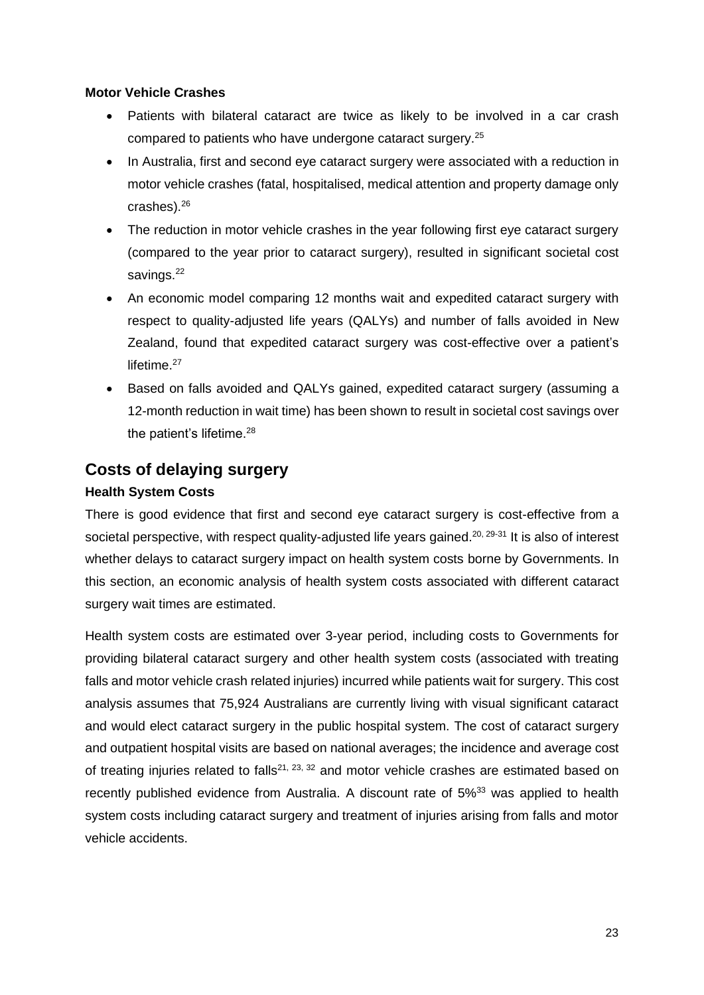#### **Motor Vehicle Crashes**

- Patients with bilateral cataract are twice as likely to be involved in a car crash compared to patients who have undergone cataract surgery.<sup>25</sup>
- In Australia, first and second eye cataract surgery were associated with a reduction in motor vehicle crashes (fatal, hospitalised, medical attention and property damage only crashes). 26
- The reduction in motor vehicle crashes in the year following first eye cataract surgery (compared to the year prior to cataract surgery), resulted in significant societal cost savings.<sup>22</sup>
- An economic model comparing 12 months wait and expedited cataract surgery with respect to quality-adjusted life years (QALYs) and number of falls avoided in New Zealand, found that expedited cataract surgery was cost-effective over a patient's lifetime.<sup>27</sup>
- Based on falls avoided and QALYs gained, expedited cataract surgery (assuming a 12-month reduction in wait time) has been shown to result in societal cost savings over the patient's lifetime.<sup>28</sup>

### <span id="page-22-0"></span>**Costs of delaying surgery**

#### **Health System Costs**

There is good evidence that first and second eye cataract surgery is cost-effective from a societal perspective, with respect quality-adjusted life years gained.<sup>20, 29-31</sup> It is also of interest whether delays to cataract surgery impact on health system costs borne by Governments. In this section, an economic analysis of health system costs associated with different cataract surgery wait times are estimated.

Health system costs are estimated over 3-year period, including costs to Governments for providing bilateral cataract surgery and other health system costs (associated with treating falls and motor vehicle crash related injuries) incurred while patients wait for surgery. This cost analysis assumes that 75,924 Australians are currently living with visual significant cataract and would elect cataract surgery in the public hospital system. The cost of cataract surgery and outpatient hospital visits are based on national averages; the incidence and average cost of treating injuries related to falls<sup>21, 23, 32</sup> and motor vehicle crashes are estimated based on recently published evidence from Australia. A discount rate of 5%<sup>33</sup> was applied to health system costs including cataract surgery and treatment of injuries arising from falls and motor vehicle accidents.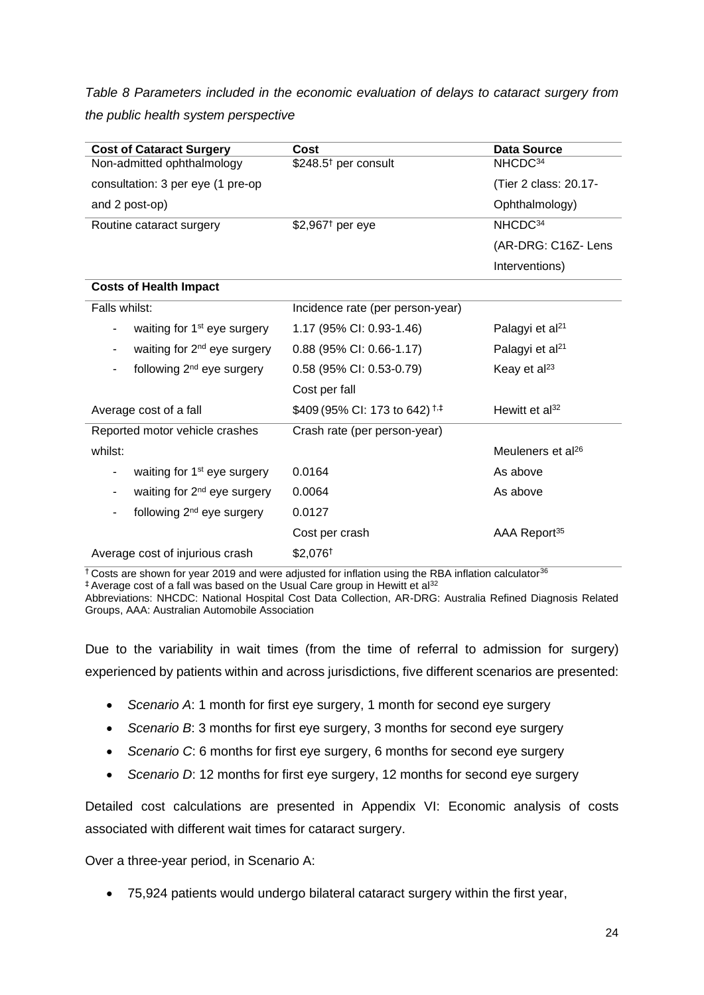*Table 8 Parameters included in the economic evaluation of delays to cataract surgery from the public health system perspective*

| <b>Cost of Cataract Surgery</b>              | Cost                                     | <b>Data Source</b>            |
|----------------------------------------------|------------------------------------------|-------------------------------|
| Non-admitted ophthalmology                   | \$248.5 <sup>†</sup> per consult         | NHCDC <sup>34</sup>           |
| consultation: 3 per eye (1 pre-op            |                                          | (Tier 2 class: 20.17-         |
| and 2 post-op)                               |                                          | Ophthalmology)                |
| Routine cataract surgery                     | $$2,967$ <sup>t</sup> per eye            | NHCDC <sup>34</sup>           |
|                                              |                                          | (AR-DRG: C16Z- Lens           |
|                                              |                                          | Interventions)                |
| <b>Costs of Health Impact</b>                |                                          |                               |
| Falls whilst:                                | Incidence rate (per person-year)         |                               |
| waiting for 1 <sup>st</sup> eye surgery      | 1.17 (95% CI: 0.93-1.46)                 | Palagyi et al <sup>21</sup>   |
| waiting for 2 <sup>nd</sup> eye surgery<br>- | 0.88 (95% CI: 0.66-1.17)                 | Palagyi et al <sup>21</sup>   |
| following 2 <sup>nd</sup> eye surgery        | 0.58 (95% CI: 0.53-0.79)                 | Keay et al <sup>23</sup>      |
|                                              | Cost per fall                            |                               |
| Average cost of a fall                       | \$409 (95% CI: 173 to 642) <sup>†‡</sup> | Hewitt et $al^{32}$           |
| Reported motor vehicle crashes               | Crash rate (per person-year)             |                               |
| whilst:                                      |                                          | Meuleners et al <sup>26</sup> |
| waiting for 1 <sup>st</sup> eye surgery      | 0.0164                                   | As above                      |
| waiting for 2 <sup>nd</sup> eye surgery      | 0.0064                                   | As above                      |
| following 2 <sup>nd</sup> eye surgery        | 0.0127                                   |                               |
|                                              | Cost per crash                           | AAA Report <sup>35</sup>      |
| Average cost of injurious crash              | \$2,076 <sup>+</sup>                     |                               |

 $\pm$  Costs are shown for year 2019 and were adjusted for inflation using the RBA inflation calculator<sup>36</sup>

‡ Average cost of a fall was based on the Usual Care group in Hewitt et al<sup>32</sup>

Abbreviations: NHCDC: National Hospital Cost Data Collection, AR-DRG: Australia Refined Diagnosis Related Groups, AAA: Australian Automobile Association

Due to the variability in wait times (from the time of referral to admission for surgery) experienced by patients within and across jurisdictions, five different scenarios are presented:

- *Scenario A*: 1 month for first eye surgery, 1 month for second eye surgery
- *Scenario B*: 3 months for first eye surgery, 3 months for second eye surgery
- *Scenario C*: 6 months for first eye surgery, 6 months for second eye surgery
- *Scenario D*: 12 months for first eye surgery, 12 months for second eye surgery

Detailed cost calculations are presented in [Appendix VI: Economic analysis of costs](#page-38-0)  [associated with different wait times for cataract surgery.](#page-38-0)

Over a three-year period, in Scenario A:

• 75,924 patients would undergo bilateral cataract surgery within the first year,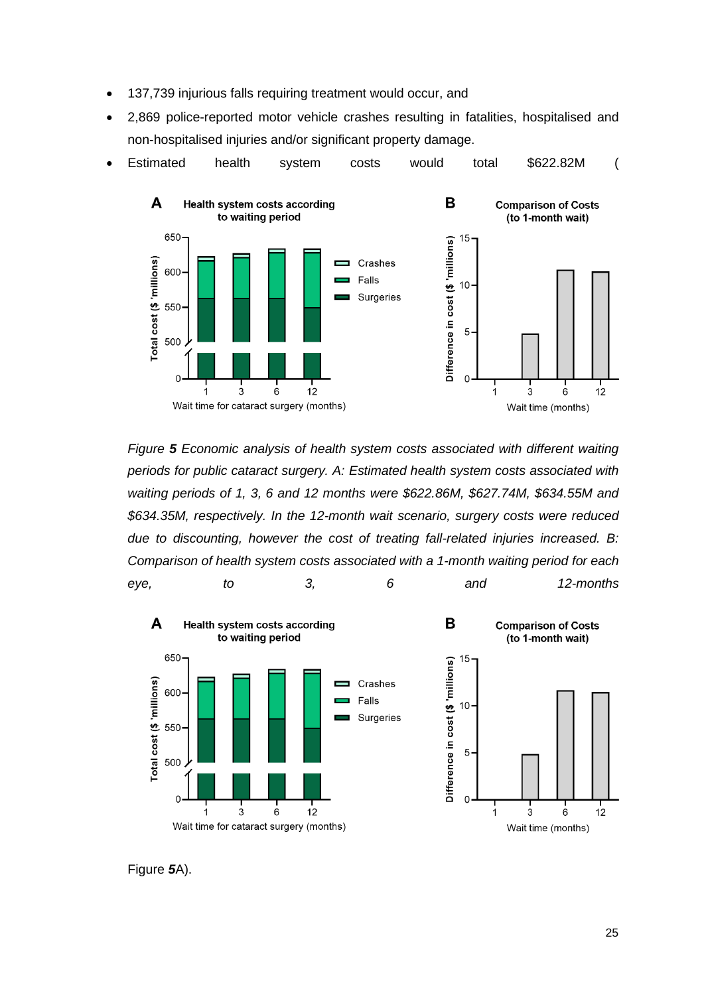- 137,739 injurious falls requiring treatment would occur, and
- 2,869 police-reported motor vehicle crashes resulting in fatalities, hospitalised and non-hospitalised injuries and/or significant property damage.



*Figure 5 [Economic analysis of health system costs associated with different waiting](#page-25-0)  [periods for public cataract surgery. A: Estimated health system costs associated with](#page-25-0) waiting periods of 1, 3, 6 and [12 months were \\$622.86M, \\$627.74M, \\$634.55M and](#page-25-0)  [\\$634.35M, respectively. In the 12-month wait scenario, surgery costs were reduced](#page-25-0)  due to discounting, however the [cost of treating fall-related injuries](#page-25-0) increased. B: [Comparison of health system costs associated with a 1-month waiting period](#page-25-0) for each eye, [to 3, 6 and 12-months](#page-25-0)*



[Figure](#page-25-0) *5*A).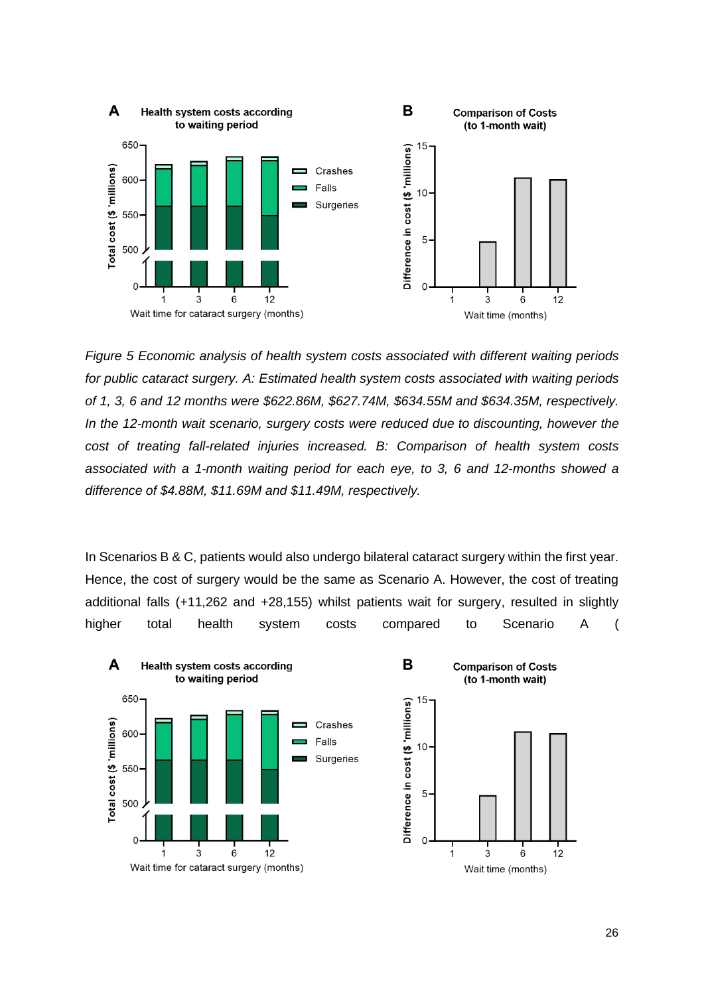<span id="page-25-0"></span>

*Figure 5 Economic analysis of health system costs associated with different waiting periods for public cataract surgery. A: Estimated health system costs associated with waiting periods of 1, 3, 6 and 12 months were \$622.86M, \$627.74M, \$634.55M and \$634.35M, respectively. In the 12-month wait scenario, surgery costs were reduced due to discounting, however the cost of treating fall-related injuries increased. B: Comparison of health system costs associated with a 1-month waiting period for each eye, to 3, 6 and 12-months showed a difference of \$4.88M, \$11.69M and \$11.49M, respectively.*

In Scenarios B & C, patients would also undergo bilateral cataract surgery within the first year. Hence, the cost of surgery would be the same as Scenario A. However, the cost of treating additional falls (+11,262 and +28,155) whilst patients wait for surgery, resulted in slightly higher total health system costs compared to Scenario A (

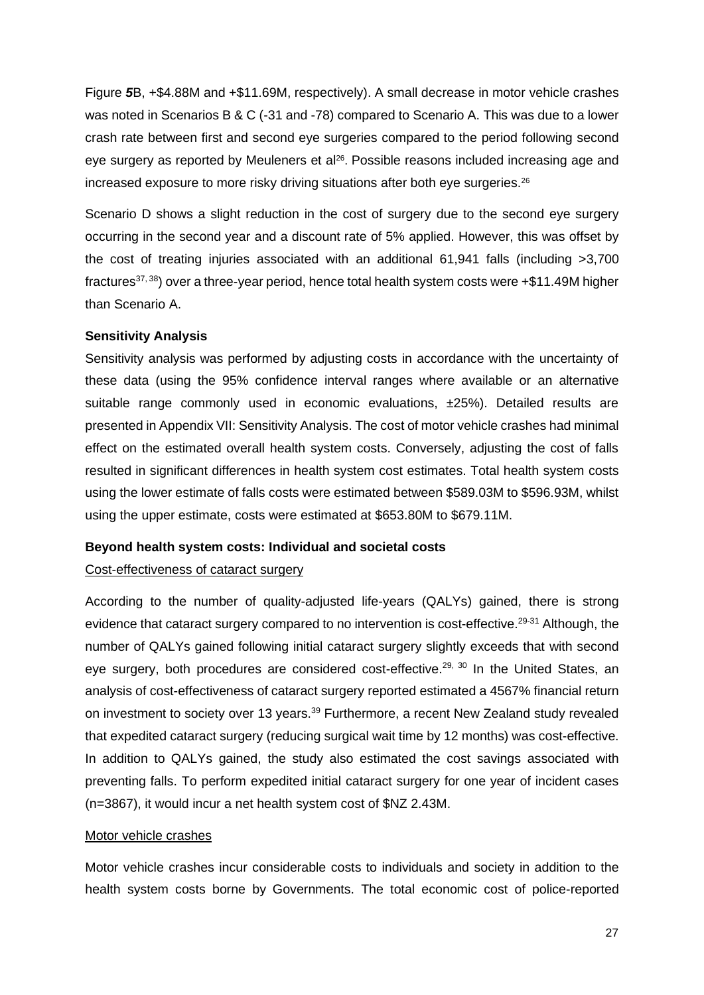[Figure](#page-25-0) *5*B, +\$4.88M and +\$11.69M, respectively). A small decrease in motor vehicle crashes was noted in Scenarios B & C (-31 and -78) compared to Scenario A. This was due to a lower crash rate between first and second eye surgeries compared to the period following second eye surgery as reported by Meuleners et al<sup>26</sup>. Possible reasons included increasing age and increased exposure to more risky driving situations after both eye surgeries.<sup>26</sup>

Scenario D shows a slight reduction in the cost of surgery due to the second eye surgery occurring in the second year and a discount rate of 5% applied. However, this was offset by the cost of treating injuries associated with an additional 61,941 falls (including >3,700 fractures<sup>37, 38</sup>) over a three-year period, hence total health system costs were  $+\$11.49M$  higher than Scenario A.

#### **Sensitivity Analysis**

Sensitivity analysis was performed by adjusting costs in accordance with the uncertainty of these data (using the 95% confidence interval ranges where available or an alternative suitable range commonly used in economic evaluations,  $\pm 25$ %). Detailed results are presented i[n Appendix VII: Sensitivity Analysis.](#page-39-0) The cost of motor vehicle crashes had minimal effect on the estimated overall health system costs. Conversely, adjusting the cost of falls resulted in significant differences in health system cost estimates. Total health system costs using the lower estimate of falls costs were estimated between \$589.03M to \$596.93M, whilst using the upper estimate, costs were estimated at \$653.80M to \$679.11M.

#### **Beyond health system costs: Individual and societal costs**

#### Cost-effectiveness of cataract surgery

According to the number of quality-adjusted life-years (QALYs) gained, there is strong evidence that cataract surgery compared to no intervention is cost-effective.<sup>29-31</sup> Although, the number of QALYs gained following initial cataract surgery slightly exceeds that with second eye surgery, both procedures are considered cost-effective.<sup>29, 30</sup> In the United States, an analysis of cost-effectiveness of cataract surgery reported estimated a 4567% financial return on investment to society over 13 years.<sup>39</sup> Furthermore, a recent New Zealand study revealed that expedited cataract surgery (reducing surgical wait time by 12 months) was cost-effective. In addition to QALYs gained, the study also estimated the cost savings associated with preventing falls. To perform expedited initial cataract surgery for one year of incident cases (n=3867), it would incur a net health system cost of \$NZ 2.43M.

#### Motor vehicle crashes

Motor vehicle crashes incur considerable costs to individuals and society in addition to the health system costs borne by Governments. The total economic cost of police-reported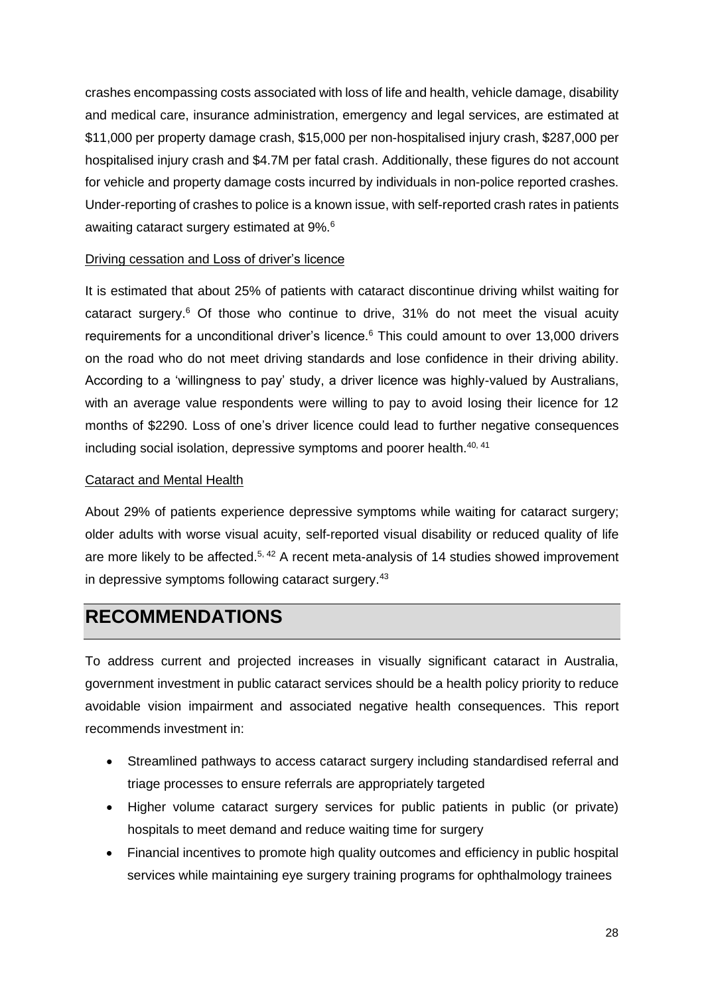crashes encompassing costs associated with loss of life and health, vehicle damage, disability and medical care, insurance administration, emergency and legal services, are estimated at \$11,000 per property damage crash, \$15,000 per non-hospitalised injury crash, \$287,000 per hospitalised injury crash and \$4.7M per fatal crash. Additionally, these figures do not account for vehicle and property damage costs incurred by individuals in non-police reported crashes. Under-reporting of crashes to police is a known issue, with self-reported crash rates in patients awaiting cataract surgery estimated at 9%.<sup>6</sup>

#### Driving cessation and Loss of driver's licence

It is estimated that about 25% of patients with cataract discontinue driving whilst waiting for cataract surgery. <sup>6</sup> Of those who continue to drive, 31% do not meet the visual acuity requirements for a unconditional driver's licence.<sup>6</sup> This could amount to over 13,000 drivers on the road who do not meet driving standards and lose confidence in their driving ability. According to a 'willingness to pay' study, a driver licence was highly-valued by Australians, with an average value respondents were willing to pay to avoid losing their licence for 12 months of \$2290. Loss of one's driver licence could lead to further negative consequences including social isolation, depressive symptoms and poorer health.<sup>40, 41</sup>

#### Cataract and Mental Health

About 29% of patients experience depressive symptoms while waiting for cataract surgery; older adults with worse visual acuity, self-reported visual disability or reduced quality of life are more likely to be affected.<sup>5, 42</sup> A recent meta-analysis of 14 studies showed improvement in depressive symptoms following cataract surgery.<sup>43</sup>

## <span id="page-27-0"></span>**RECOMMENDATIONS**

To address current and projected increases in visually significant cataract in Australia, government investment in public cataract services should be a health policy priority to reduce avoidable vision impairment and associated negative health consequences. This report recommends investment in:

- Streamlined pathways to access cataract surgery including standardised referral and triage processes to ensure referrals are appropriately targeted
- Higher volume cataract surgery services for public patients in public (or private) hospitals to meet demand and reduce waiting time for surgery
- Financial incentives to promote high quality outcomes and efficiency in public hospital services while maintaining eye surgery training programs for ophthalmology trainees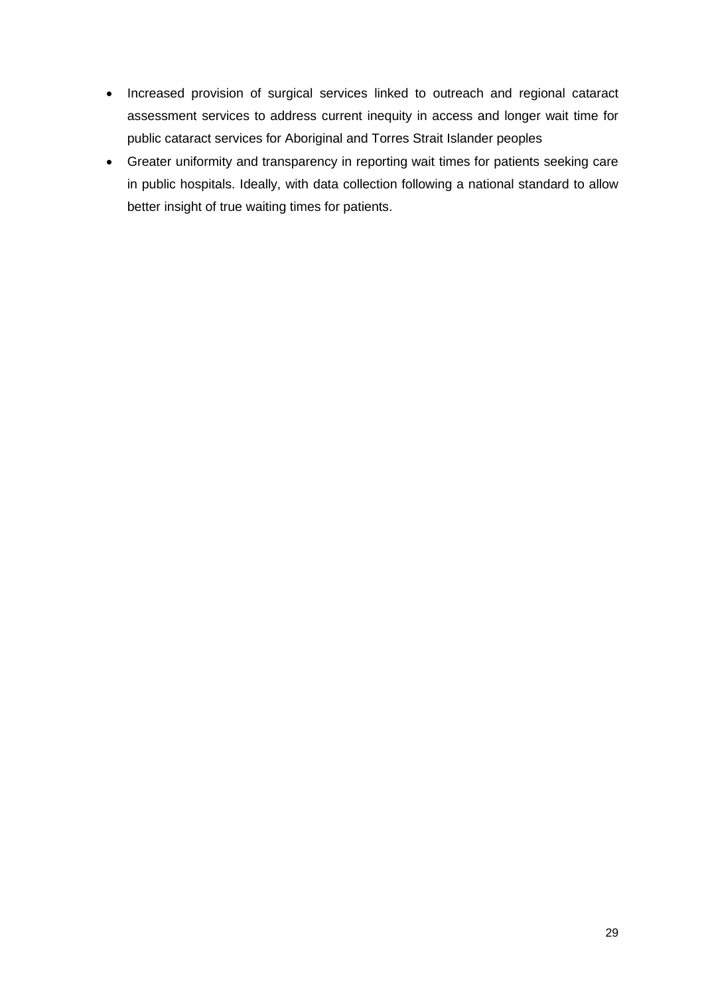- Increased provision of surgical services linked to outreach and regional cataract assessment services to address current inequity in access and longer wait time for public cataract services for Aboriginal and Torres Strait Islander peoples
- Greater uniformity and transparency in reporting wait times for patients seeking care in public hospitals. Ideally, with data collection following a national standard to allow better insight of true waiting times for patients.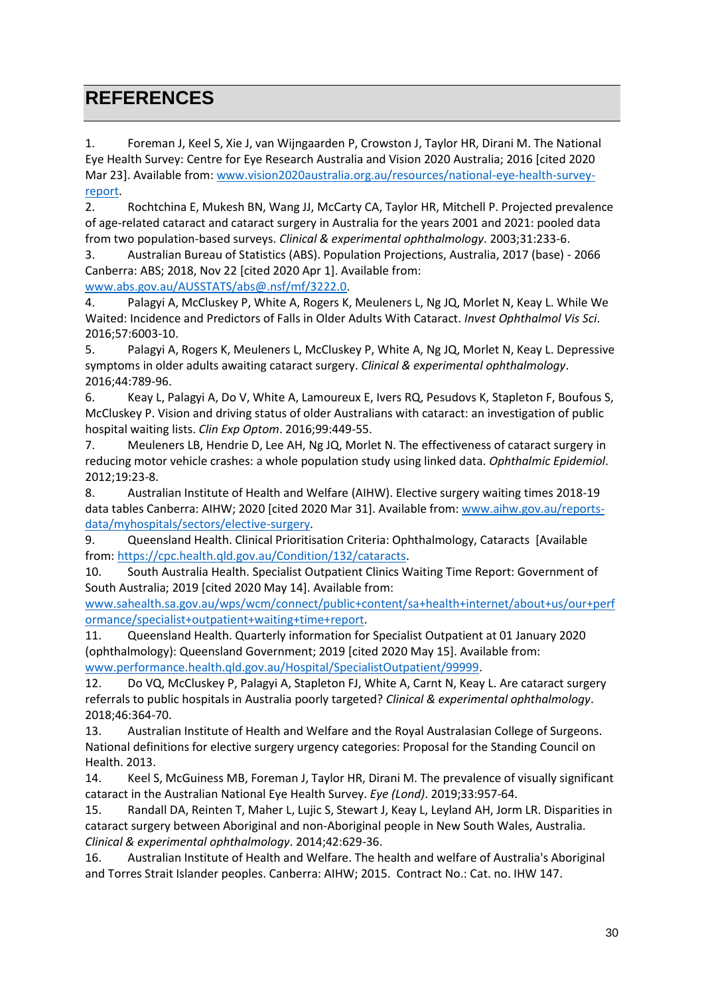## <span id="page-29-0"></span>**REFERENCES**

1. Foreman J, Keel S, Xie J, van Wijngaarden P, Crowston J, Taylor HR, Dirani M. The National Eye Health Survey: Centre for Eye Research Australia and Vision 2020 Australia; 2016 [cited 2020 Mar 23]. Available from: [www.vision2020australia.org.au/resources/national-eye-health-survey](file:///C:/Users/vhuynh/AppData/Local/Microsoft/Windows/INetCache/Content.Outlook/NJBAC1D0/www.vision2020australia.org.au/resources/national-eye-health-survey-report)[report.](file:///C:/Users/vhuynh/AppData/Local/Microsoft/Windows/INetCache/Content.Outlook/NJBAC1D0/www.vision2020australia.org.au/resources/national-eye-health-survey-report)

2. Rochtchina E, Mukesh BN, Wang JJ, McCarty CA, Taylor HR, Mitchell P. Projected prevalence of age-related cataract and cataract surgery in Australia for the years 2001 and 2021: pooled data from two population-based surveys. *Clinical & experimental ophthalmology*. 2003;31:233-6.

3. Australian Bureau of Statistics (ABS). Population Projections, Australia, 2017 (base) - 2066 Canberra: ABS; 2018, Nov 22 [cited 2020 Apr 1]. Available from:

[www.abs.gov.au/AUSSTATS/abs@.nsf/mf/3222.0.](file:///C:/Users/vhuynh/AppData/Local/Microsoft/Windows/INetCache/Content.Outlook/NJBAC1D0/www.abs.gov.au/AUSSTATS/abs@.nsf/mf/3222.0)

4. Palagyi A, McCluskey P, White A, Rogers K, Meuleners L, Ng JQ, Morlet N, Keay L. While We Waited: Incidence and Predictors of Falls in Older Adults With Cataract. *Invest Ophthalmol Vis Sci*. 2016;57:6003-10.

5. Palagyi A, Rogers K, Meuleners L, McCluskey P, White A, Ng JQ, Morlet N, Keay L. Depressive symptoms in older adults awaiting cataract surgery. *Clinical & experimental ophthalmology*. 2016;44:789-96.

6. Keay L, Palagyi A, Do V, White A, Lamoureux E, Ivers RQ, Pesudovs K, Stapleton F, Boufous S, McCluskey P. Vision and driving status of older Australians with cataract: an investigation of public hospital waiting lists. *Clin Exp Optom*. 2016;99:449-55.

7. Meuleners LB, Hendrie D, Lee AH, Ng JQ, Morlet N. The effectiveness of cataract surgery in reducing motor vehicle crashes: a whole population study using linked data. *Ophthalmic Epidemiol*. 2012;19:23-8.

8. Australian Institute of Health and Welfare (AIHW). Elective surgery waiting times 2018-19 data tables Canberra: AIHW; 2020 [cited 2020 Mar 31]. Available from[: www.aihw.gov.au/reports](file:///C:/Users/vhuynh/AppData/Local/Microsoft/Windows/INetCache/Content.Outlook/NJBAC1D0/www.aihw.gov.au/reports-data/myhospitals/sectors/elective-surgery)[data/myhospitals/sectors/elective-surgery.](file:///C:/Users/vhuynh/AppData/Local/Microsoft/Windows/INetCache/Content.Outlook/NJBAC1D0/www.aihw.gov.au/reports-data/myhospitals/sectors/elective-surgery)

9. Queensland Health. Clinical Prioritisation Criteria: Ophthalmology, Cataracts [Available from: [https://cpc.health.qld.gov.au/Condition/132/cataracts.](https://cpc.health.qld.gov.au/Condition/132/cataracts)

10. South Australia Health. Specialist Outpatient Clinics Waiting Time Report: Government of South Australia; 2019 [cited 2020 May 14]. Available from:

[www.sahealth.sa.gov.au/wps/wcm/connect/public+content/sa+health+internet/about+us/our+perf](file:///C:/Users/vhuynh/AppData/Local/Microsoft/Windows/INetCache/Content.Outlook/NJBAC1D0/www.sahealth.sa.gov.au/wps/wcm/connect/public+content/sa+health+internet/about+us/our+performance/specialist+outpatient+waiting+time+report) [ormance/specialist+outpatient+waiting+time+report.](file:///C:/Users/vhuynh/AppData/Local/Microsoft/Windows/INetCache/Content.Outlook/NJBAC1D0/www.sahealth.sa.gov.au/wps/wcm/connect/public+content/sa+health+internet/about+us/our+performance/specialist+outpatient+waiting+time+report)

11. Queensland Health. Quarterly information for Specialist Outpatient at 01 January 2020 (ophthalmology): Queensland Government; 2019 [cited 2020 May 15]. Available from: [www.performance.health.qld.gov.au/Hospital/SpecialistOutpatient/99999.](file:///C:/Users/vhuynh/AppData/Local/Microsoft/Windows/INetCache/Content.Outlook/NJBAC1D0/www.performance.health.qld.gov.au/Hospital/SpecialistOutpatient/99999)

12. Do VQ, McCluskey P, Palagyi A, Stapleton FJ, White A, Carnt N, Keay L. Are cataract surgery referrals to public hospitals in Australia poorly targeted? *Clinical & experimental ophthalmology*. 2018;46:364-70.

13. Australian Institute of Health and Welfare and the Royal Australasian College of Surgeons. National definitions for elective surgery urgency categories: Proposal for the Standing Council on Health. 2013.

14. Keel S, McGuiness MB, Foreman J, Taylor HR, Dirani M. The prevalence of visually significant cataract in the Australian National Eye Health Survey. *Eye (Lond)*. 2019;33:957-64.

15. Randall DA, Reinten T, Maher L, Lujic S, Stewart J, Keay L, Leyland AH, Jorm LR. Disparities in cataract surgery between Aboriginal and non-Aboriginal people in New South Wales, Australia. *Clinical & experimental ophthalmology*. 2014;42:629-36.

16. Australian Institute of Health and Welfare. The health and welfare of Australia's Aboriginal and Torres Strait Islander peoples. Canberra: AIHW; 2015. Contract No.: Cat. no. IHW 147.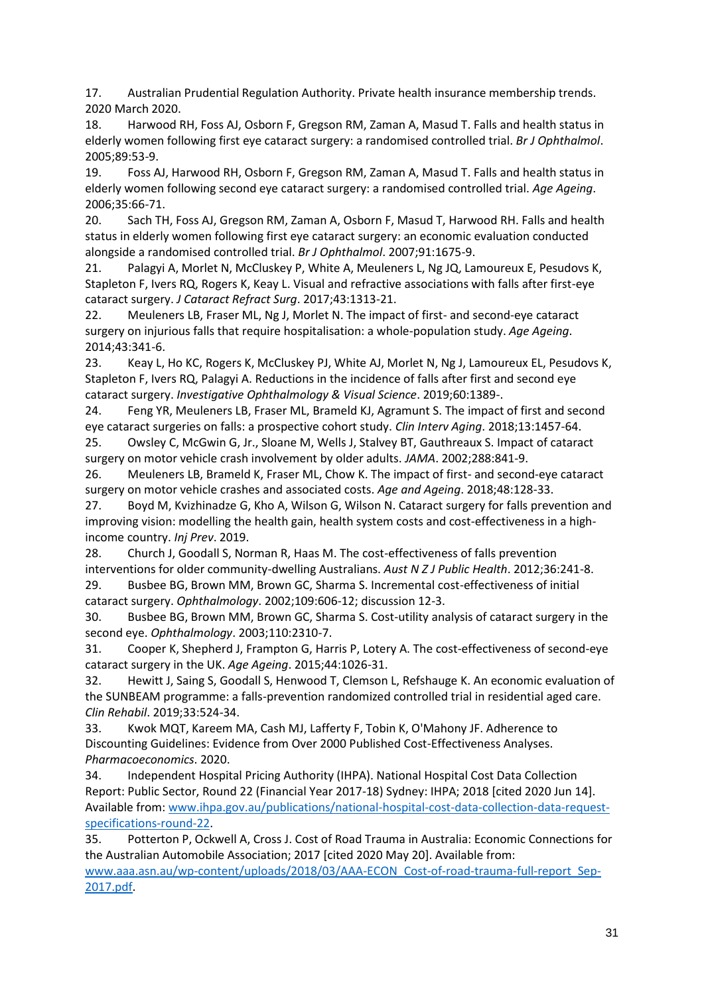17. Australian Prudential Regulation Authority. Private health insurance membership trends. 2020 March 2020.

18. Harwood RH, Foss AJ, Osborn F, Gregson RM, Zaman A, Masud T. Falls and health status in elderly women following first eye cataract surgery: a randomised controlled trial. *Br J Ophthalmol*. 2005;89:53-9.

19. Foss AJ, Harwood RH, Osborn F, Gregson RM, Zaman A, Masud T. Falls and health status in elderly women following second eye cataract surgery: a randomised controlled trial. *Age Ageing*. 2006;35:66-71.

20. Sach TH, Foss AJ, Gregson RM, Zaman A, Osborn F, Masud T, Harwood RH. Falls and health status in elderly women following first eye cataract surgery: an economic evaluation conducted alongside a randomised controlled trial. *Br J Ophthalmol*. 2007;91:1675-9.

21. Palagyi A, Morlet N, McCluskey P, White A, Meuleners L, Ng JQ, Lamoureux E, Pesudovs K, Stapleton F, Ivers RQ, Rogers K, Keay L. Visual and refractive associations with falls after first-eye cataract surgery. *J Cataract Refract Surg*. 2017;43:1313-21.

22. Meuleners LB, Fraser ML, Ng J, Morlet N. The impact of first- and second-eye cataract surgery on injurious falls that require hospitalisation: a whole-population study. *Age Ageing*. 2014;43:341-6.

23. Keay L, Ho KC, Rogers K, McCluskey PJ, White AJ, Morlet N, Ng J, Lamoureux EL, Pesudovs K, Stapleton F, Ivers RQ, Palagyi A. Reductions in the incidence of falls after first and second eye cataract surgery. *Investigative Ophthalmology & Visual Science*. 2019;60:1389-.

24. Feng YR, Meuleners LB, Fraser ML, Brameld KJ, Agramunt S. The impact of first and second eye cataract surgeries on falls: a prospective cohort study. *Clin Interv Aging*. 2018;13:1457-64.

25. Owsley C, McGwin G, Jr., Sloane M, Wells J, Stalvey BT, Gauthreaux S. Impact of cataract surgery on motor vehicle crash involvement by older adults. *JAMA*. 2002;288:841-9.

26. Meuleners LB, Brameld K, Fraser ML, Chow K. The impact of first- and second-eye cataract surgery on motor vehicle crashes and associated costs. *Age and Ageing*. 2018;48:128-33.

27. Boyd M, Kvizhinadze G, Kho A, Wilson G, Wilson N. Cataract surgery for falls prevention and improving vision: modelling the health gain, health system costs and cost-effectiveness in a highincome country. *Inj Prev*. 2019.

28. Church J, Goodall S, Norman R, Haas M. The cost-effectiveness of falls prevention interventions for older community-dwelling Australians. *Aust N Z J Public Health*. 2012;36:241-8.

29. Busbee BG, Brown MM, Brown GC, Sharma S. Incremental cost-effectiveness of initial cataract surgery. *Ophthalmology*. 2002;109:606-12; discussion 12-3.

30. Busbee BG, Brown MM, Brown GC, Sharma S. Cost-utility analysis of cataract surgery in the second eye. *Ophthalmology*. 2003;110:2310-7.

31. Cooper K, Shepherd J, Frampton G, Harris P, Lotery A. The cost-effectiveness of second-eye cataract surgery in the UK. *Age Ageing*. 2015;44:1026-31.

32. Hewitt J, Saing S, Goodall S, Henwood T, Clemson L, Refshauge K. An economic evaluation of the SUNBEAM programme: a falls-prevention randomized controlled trial in residential aged care. *Clin Rehabil*. 2019;33:524-34.

33. Kwok MQT, Kareem MA, Cash MJ, Lafferty F, Tobin K, O'Mahony JF. Adherence to Discounting Guidelines: Evidence from Over 2000 Published Cost-Effectiveness Analyses. *Pharmacoeconomics*. 2020.

34. Independent Hospital Pricing Authority (IHPA). National Hospital Cost Data Collection Report: Public Sector, Round 22 (Financial Year 2017-18) Sydney: IHPA; 2018 [cited 2020 Jun 14]. Available from[: www.ihpa.gov.au/publications/national-hospital-cost-data-collection-data-request](file:///C:/Users/vhuynh/AppData/Local/Microsoft/Windows/INetCache/Content.Outlook/NJBAC1D0/www.ihpa.gov.au/publications/national-hospital-cost-data-collection-data-request-specifications-round-22)[specifications-round-22.](file:///C:/Users/vhuynh/AppData/Local/Microsoft/Windows/INetCache/Content.Outlook/NJBAC1D0/www.ihpa.gov.au/publications/national-hospital-cost-data-collection-data-request-specifications-round-22)

35. Potterton P, Ockwell A, Cross J. Cost of Road Trauma in Australia: Economic Connections for the Australian Automobile Association; 2017 [cited 2020 May 20]. Available from: [www.aaa.asn.au/wp-content/uploads/2018/03/AAA-ECON\\_Cost-of-road-trauma-full-report\\_Sep-](file:///C:/Users/vhuynh/AppData/Local/Microsoft/Windows/INetCache/Content.Outlook/NJBAC1D0/www.aaa.asn.au/wp-content/uploads/2018/03/AAA-ECON_Cost-of-road-trauma-full-report_Sep-2017.pdf)[2017.pdf.](file:///C:/Users/vhuynh/AppData/Local/Microsoft/Windows/INetCache/Content.Outlook/NJBAC1D0/www.aaa.asn.au/wp-content/uploads/2018/03/AAA-ECON_Cost-of-road-trauma-full-report_Sep-2017.pdf)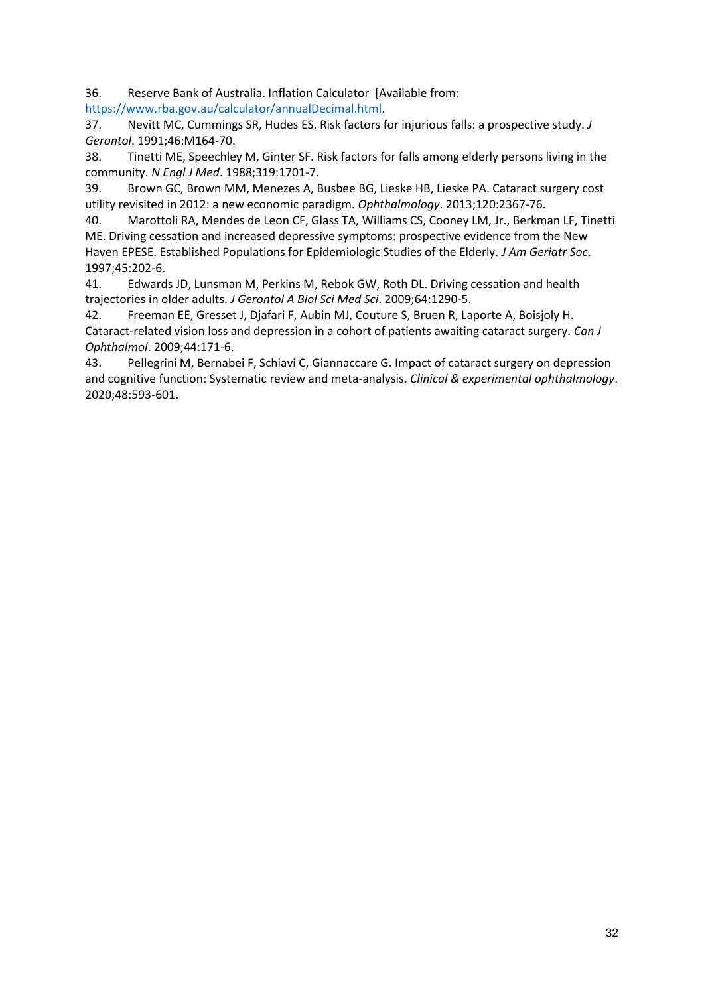36. Reserve Bank of Australia. Inflation Calculator [Available from:

[https://www.rba.gov.au/calculator/annualDecimal.html.](https://www.rba.gov.au/calculator/annualDecimal.html)

37. Nevitt MC, Cummings SR, Hudes ES. Risk factors for injurious falls: a prospective study. *J Gerontol*. 1991;46:M164-70.

38. Tinetti ME, Speechley M, Ginter SF. Risk factors for falls among elderly persons living in the community. *N Engl J Med*. 1988;319:1701-7.

39. Brown GC, Brown MM, Menezes A, Busbee BG, Lieske HB, Lieske PA. Cataract surgery cost utility revisited in 2012: a new economic paradigm. *Ophthalmology*. 2013;120:2367-76.

40. Marottoli RA, Mendes de Leon CF, Glass TA, Williams CS, Cooney LM, Jr., Berkman LF, Tinetti ME. Driving cessation and increased depressive symptoms: prospective evidence from the New Haven EPESE. Established Populations for Epidemiologic Studies of the Elderly. *J Am Geriatr Soc*. 1997;45:202-6.

41. Edwards JD, Lunsman M, Perkins M, Rebok GW, Roth DL. Driving cessation and health trajectories in older adults. *J Gerontol A Biol Sci Med Sci*. 2009;64:1290-5.

42. Freeman EE, Gresset J, Djafari F, Aubin MJ, Couture S, Bruen R, Laporte A, Boisjoly H. Cataract-related vision loss and depression in a cohort of patients awaiting cataract surgery. *Can J Ophthalmol*. 2009;44:171-6.

43. Pellegrini M, Bernabei F, Schiavi C, Giannaccare G. Impact of cataract surgery on depression and cognitive function: Systematic review and meta-analysis. *Clinical & experimental ophthalmology*. 2020;48:593-601.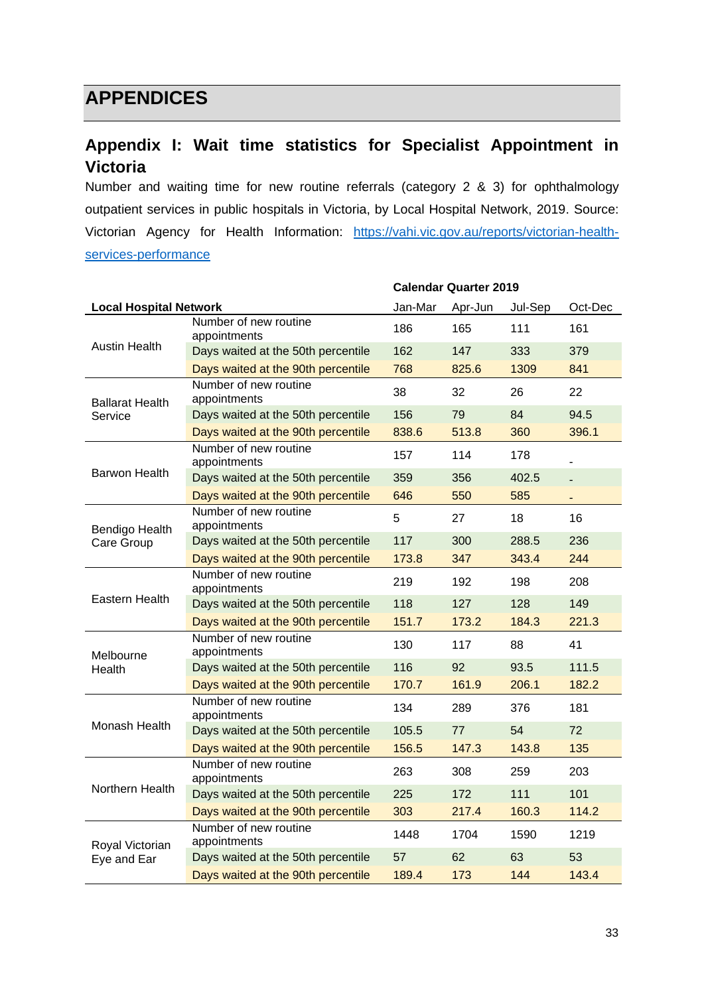## <span id="page-32-0"></span>**APPENDICES**

## <span id="page-32-1"></span>**Appendix I: Wait time statistics for Specialist Appointment in Victoria**

Number and waiting time for new routine referrals (category 2 & 3) for ophthalmology outpatient services in public hospitals in Victoria, by Local Hospital Network, 2019. Source: Victorian Agency for Health Information: [https://vahi.vic.gov.au/reports/victorian-health](https://vahi.vic.gov.au/reports/victorian-health-services-performance)[services-performance](https://vahi.vic.gov.au/reports/victorian-health-services-performance)

|                               |                                       | <b>Calendar Quarter 2019</b> |         |         |         |  |
|-------------------------------|---------------------------------------|------------------------------|---------|---------|---------|--|
| <b>Local Hospital Network</b> |                                       | Jan-Mar                      | Apr-Jun | Jul-Sep | Oct-Dec |  |
|                               | Number of new routine<br>appointments | 186                          | 165     | 111     | 161     |  |
| <b>Austin Health</b>          | Days waited at the 50th percentile    | 162                          | 147     | 333     | 379     |  |
|                               | Days waited at the 90th percentile    | 768                          | 825.6   | 1309    | 841     |  |
| <b>Ballarat Health</b>        | Number of new routine<br>appointments | 38                           | 32      | 26      | 22      |  |
| Service                       | Days waited at the 50th percentile    | 156                          | 79      | 84      | 94.5    |  |
|                               | Days waited at the 90th percentile    | 838.6                        | 513.8   | 360     | 396.1   |  |
|                               | Number of new routine<br>appointments | 157                          | 114     | 178     |         |  |
| Barwon Health                 | Days waited at the 50th percentile    | 359                          | 356     | 402.5   |         |  |
|                               | Days waited at the 90th percentile    | 646                          | 550     | 585     |         |  |
| Bendigo Health<br>Care Group  | Number of new routine<br>appointments | 5                            | 27      | 18      | 16      |  |
|                               | Days waited at the 50th percentile    | 117                          | 300     | 288.5   | 236     |  |
|                               | Days waited at the 90th percentile    | 173.8                        | 347     | 343.4   | 244     |  |
| <b>Eastern Health</b>         | Number of new routine<br>appointments | 219                          | 192     | 198     | 208     |  |
|                               | Days waited at the 50th percentile    | 118                          | 127     | 128     | 149     |  |
|                               | Days waited at the 90th percentile    | 151.7                        | 173.2   | 184.3   | 221.3   |  |
| Melbourne                     | Number of new routine<br>appointments | 130                          | 117     | 88      | 41      |  |
| Health                        | Days waited at the 50th percentile    | 116                          | 92      | 93.5    | 111.5   |  |
|                               | Days waited at the 90th percentile    | 170.7                        | 161.9   | 206.1   | 182.2   |  |
|                               | Number of new routine<br>appointments | 134                          | 289     | 376     | 181     |  |
| Monash Health                 | Days waited at the 50th percentile    | 105.5                        | 77      | 54      | 72      |  |
|                               | Days waited at the 90th percentile    | 156.5                        | 147.3   | 143.8   | 135     |  |
|                               | Number of new routine<br>appointments | 263                          | 308     | 259     | 203     |  |
| Northern Health               | Days waited at the 50th percentile    | 225                          | 172     | 111     | 101     |  |
|                               | Days waited at the 90th percentile    | 303                          | 217.4   | 160.3   | 114.2   |  |
| Royal Victorian               | Number of new routine<br>appointments | 1448                         | 1704    | 1590    | 1219    |  |
| Eye and Ear                   | Days waited at the 50th percentile    | 57                           | 62      | 63      | 53      |  |
|                               | Days waited at the 90th percentile    | 189.4                        | 173     | 144     | 143.4   |  |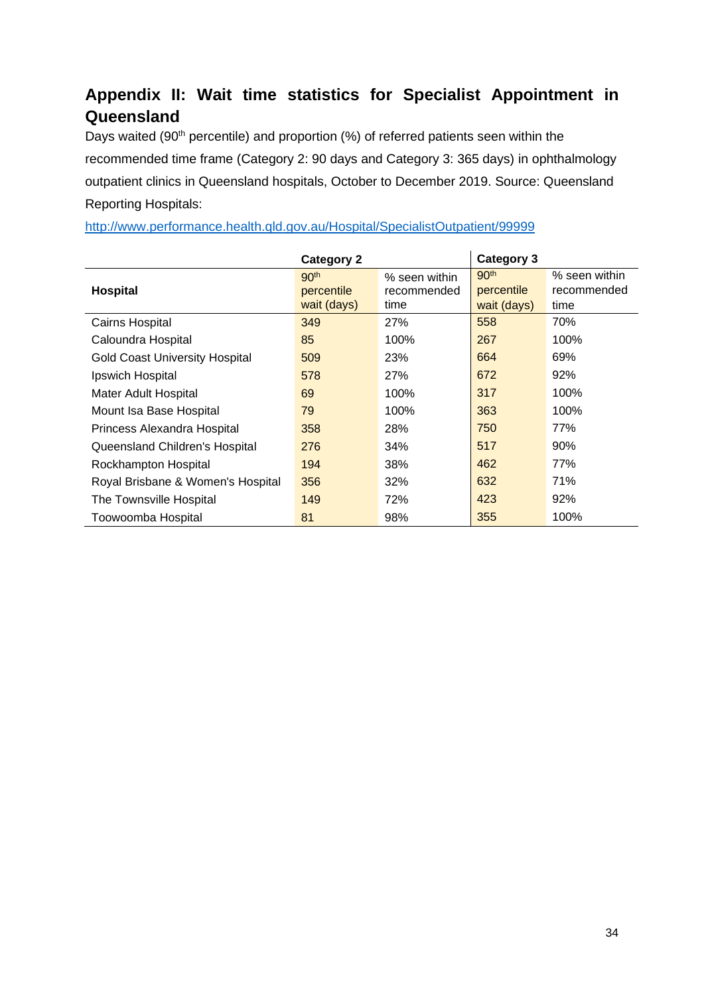## <span id="page-33-0"></span>**Appendix II: Wait time statistics for Specialist Appointment in Queensland**

Days waited (90<sup>th</sup> percentile) and proportion (%) of referred patients seen within the recommended time frame (Category 2: 90 days and Category 3: 365 days) in ophthalmology outpatient clinics in Queensland hospitals, October to December 2019. Source: Queensland Reporting Hospitals:

|                                       | <b>Category 2</b>                             |                                      | <b>Category 3</b>                             |                                      |
|---------------------------------------|-----------------------------------------------|--------------------------------------|-----------------------------------------------|--------------------------------------|
| Hospital                              | 90 <sup>th</sup><br>percentile<br>wait (days) | % seen within<br>recommended<br>time | 90 <sup>th</sup><br>percentile<br>wait (days) | % seen within<br>recommended<br>time |
| Cairns Hospital                       | 349                                           | 27%                                  | 558                                           | 70%                                  |
| Caloundra Hospital                    | 85                                            | 100%                                 | 267                                           | 100%                                 |
| <b>Gold Coast University Hospital</b> | 509                                           | 23%                                  | 664                                           | 69%                                  |
| Ipswich Hospital                      | 578                                           | 27%                                  | 672                                           | 92%                                  |
| Mater Adult Hospital                  | 69                                            | 100%                                 | 317                                           | 100%                                 |
| Mount Isa Base Hospital               | 79                                            | 100%                                 | 363                                           | 100%                                 |
| Princess Alexandra Hospital           | 358                                           | 28%                                  | 750                                           | 77%                                  |
| Queensland Children's Hospital        | 276                                           | 34%                                  | 517                                           | 90%                                  |
| Rockhampton Hospital                  | 194                                           | 38%                                  | 462                                           | 77%                                  |
| Royal Brisbane & Women's Hospital     | 356                                           | 32%                                  | 632                                           | 71%                                  |
| The Townsville Hospital               | 149                                           | 72%                                  | 423                                           | 92%                                  |
| Toowoomba Hospital                    | 81                                            | 98%                                  | 355                                           | 100%                                 |

<http://www.performance.health.qld.gov.au/Hospital/SpecialistOutpatient/99999>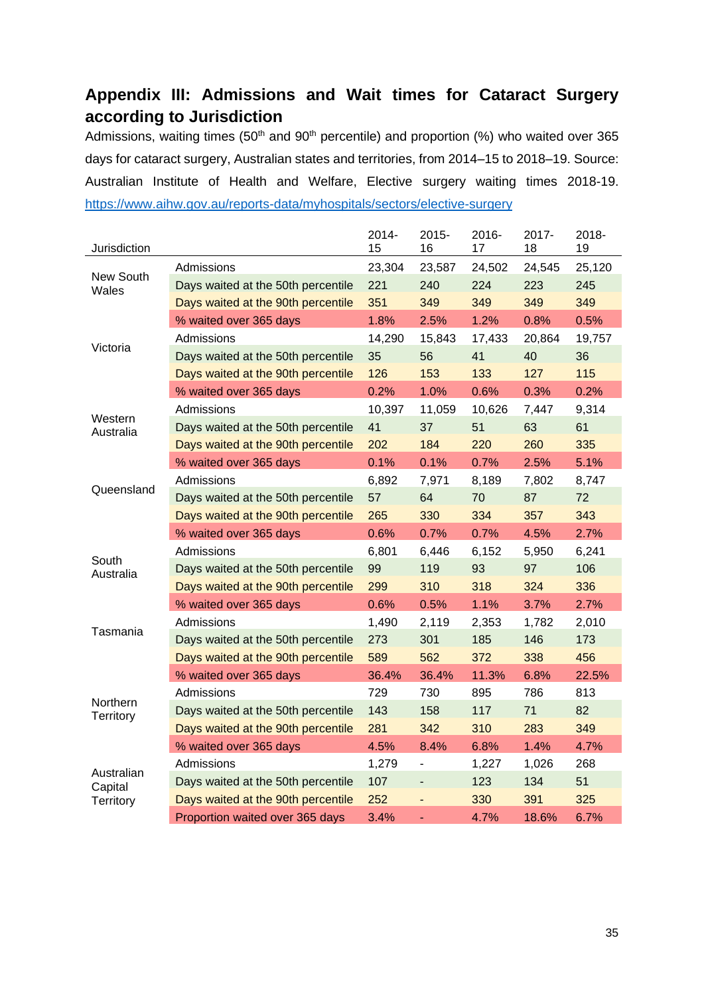## <span id="page-34-0"></span>**Appendix III: Admissions and Wait times for Cataract Surgery according to Jurisdiction**

Admissions, waiting times (50<sup>th</sup> and 90<sup>th</sup> percentile) and proportion (%) who waited over 365 days for cataract surgery, Australian states and territories, from 2014–15 to 2018–19. Source: Australian Institute of Health and Welfare, Elective surgery waiting times 2018-19. <https://www.aihw.gov.au/reports-data/myhospitals/sectors/elective-surgery>

| Jurisdiction         |                                    | 2014-<br>15 | 2015-<br>16                  | 2016-<br>17 | 2017-<br>18 | 2018-<br>19 |
|----------------------|------------------------------------|-------------|------------------------------|-------------|-------------|-------------|
|                      | Admissions                         | 23,304      | 23,587                       | 24,502      | 24,545      | 25,120      |
| New South<br>Wales   | Days waited at the 50th percentile | 221         | 240                          | 224         | 223         | 245         |
|                      | Days waited at the 90th percentile | 351         | 349                          | 349         | 349         | 349         |
|                      | % waited over 365 days             | 1.8%        | 2.5%                         | 1.2%        | 0.8%        | 0.5%        |
|                      | Admissions                         | 14,290      | 15,843                       | 17,433      | 20,864      | 19,757      |
| Victoria             | Days waited at the 50th percentile | 35          | 56                           | 41          | 40          | 36          |
|                      | Days waited at the 90th percentile | 126         | 153                          | 133         | 127         | 115         |
|                      | % waited over 365 days             | 0.2%        | 1.0%                         | 0.6%        | 0.3%        | 0.2%        |
|                      | Admissions                         | 10,397      | 11,059                       | 10,626      | 7,447       | 9,314       |
| Western<br>Australia | Days waited at the 50th percentile | 41          | 37                           | 51          | 63          | 61          |
|                      | Days waited at the 90th percentile | 202         | 184                          | 220         | 260         | 335         |
|                      | % waited over 365 days             | 0.1%        | 0.1%                         | 0.7%        | 2.5%        | 5.1%        |
|                      | Admissions                         | 6,892       | 7,971                        | 8,189       | 7,802       | 8,747       |
| Queensland           | Days waited at the 50th percentile | 57          | 64                           | 70          | 87          | 72          |
|                      | Days waited at the 90th percentile | 265         | 330                          | 334         | 357         | 343         |
|                      | % waited over 365 days             | 0.6%        | 0.7%                         | 0.7%        | 4.5%        | 2.7%        |
|                      | Admissions                         | 6,801       | 6,446                        | 6,152       | 5,950       | 6,241       |
| South<br>Australia   | Days waited at the 50th percentile | 99          | 119                          | 93          | 97          | 106         |
|                      | Days waited at the 90th percentile | 299         | 310                          | 318         | 324         | 336         |
|                      | % waited over 365 days             | 0.6%        | 0.5%                         | 1.1%        | 3.7%        | 2.7%        |
| Tasmania             | Admissions                         | 1,490       | 2,119                        | 2,353       | 1,782       | 2,010       |
|                      | Days waited at the 50th percentile | 273         | 301                          | 185         | 146         | 173         |
|                      | Days waited at the 90th percentile | 589         | 562                          | 372         | 338         | 456         |
|                      | % waited over 365 days             | 36.4%       | 36.4%                        | 11.3%       | 6.8%        | 22.5%       |
| Northern             | Admissions                         | 729         | 730                          | 895         | 786         | 813         |
| Territory            | Days waited at the 50th percentile | 143         | 158                          | 117         | 71          | 82          |
|                      | Days waited at the 90th percentile | 281         | 342                          | 310         | 283         | 349         |
|                      | % waited over 365 days             | 4.5%        | 8.4%                         | 6.8%        | 1.4%        | 4.7%        |
| Australian           | Admissions                         | 1,279       | $\blacksquare$               | 1,227       | 1,026       | 268         |
| Capital              | Days waited at the 50th percentile | 107         | $\qquad \qquad \blacksquare$ | 123         | 134         | 51          |
| Territory            | Days waited at the 90th percentile | 252         | $\qquad \qquad \blacksquare$ | 330         | 391         | 325         |
|                      | Proportion waited over 365 days    | 3.4%        |                              | 4.7%        | 18.6%       | 6.7%        |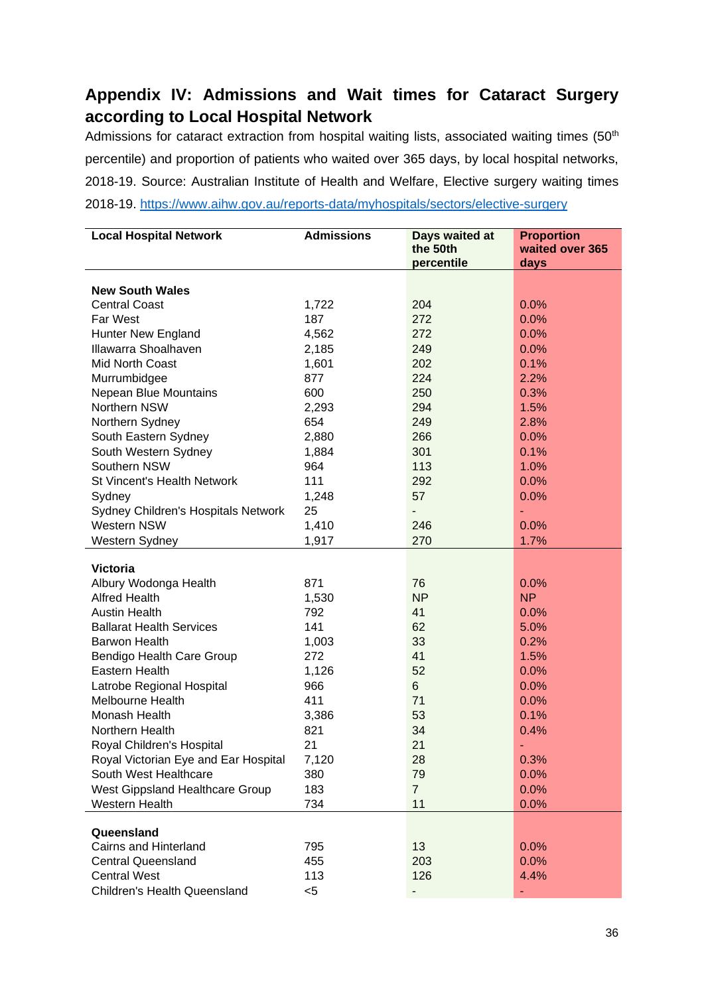## <span id="page-35-0"></span>**Appendix IV: Admissions and Wait times for Cataract Surgery according to Local Hospital Network**

Admissions for cataract extraction from hospital waiting lists, associated waiting times  $(50<sup>th</sup>$ percentile) and proportion of patients who waited over 365 days, by local hospital networks, 2018-19. Source: Australian Institute of Health and Welfare, Elective surgery waiting times 2018-19. <https://www.aihw.gov.au/reports-data/myhospitals/sectors/elective-surgery>

| <b>Local Hospital Network</b>        | <b>Admissions</b> | Days waited at | <b>Proportion</b> |
|--------------------------------------|-------------------|----------------|-------------------|
|                                      |                   | the 50th       | waited over 365   |
|                                      |                   | percentile     | days              |
| <b>New South Wales</b>               |                   |                |                   |
| <b>Central Coast</b>                 | 1,722             | 204            | 0.0%              |
| Far West                             | 187               | 272            | 0.0%              |
| Hunter New England                   | 4,562             | 272            | 0.0%              |
| Illawarra Shoalhaven                 | 2,185             | 249            | 0.0%              |
| Mid North Coast                      | 1,601             | 202            | 0.1%              |
| Murrumbidgee                         | 877               | 224            | 2.2%              |
| Nepean Blue Mountains                | 600               | 250            | 0.3%              |
| Northern NSW                         | 2,293             | 294            | 1.5%              |
| Northern Sydney                      | 654               | 249            | 2.8%              |
| South Eastern Sydney                 | 2,880             | 266            | 0.0%              |
| South Western Sydney                 | 1,884             | 301            | 0.1%              |
| Southern NSW                         | 964               | 113            | 1.0%              |
| St Vincent's Health Network          | 111               | 292            | 0.0%              |
| Sydney                               | 1,248             | 57             | 0.0%              |
| Sydney Children's Hospitals Network  | 25                |                | ٠                 |
| <b>Western NSW</b>                   | 1,410             | 246            | 0.0%              |
| Western Sydney                       | 1,917             | 270            | 1.7%              |
|                                      |                   |                |                   |
| <b>Victoria</b>                      |                   |                |                   |
| Albury Wodonga Health                | 871               | 76             | 0.0%              |
| <b>Alfred Health</b>                 | 1,530             | <b>NP</b>      | <b>NP</b>         |
| <b>Austin Health</b>                 | 792               | 41             | 0.0%              |
| <b>Ballarat Health Services</b>      | 141               | 62             | 5.0%              |
| <b>Barwon Health</b>                 | 1,003             | 33             | 0.2%              |
| Bendigo Health Care Group            | 272               | 41             | 1.5%              |
| Eastern Health                       | 1,126             | 52             | 0.0%              |
| Latrobe Regional Hospital            | 966               | 6              | 0.0%              |
| Melbourne Health                     | 411               | 71             | 0.0%              |
| Monash Health                        | 3,386             | 53             | 0.1%              |
| Northern Health                      | 821               | 34             | 0.4%              |
| Royal Children's Hospital            | 21                | 21             | $\blacksquare$    |
| Royal Victorian Eye and Ear Hospital | 7,120             | 28             | 0.3%              |
| South West Healthcare                | 380               | 79             | 0.0%              |
| West Gippsland Healthcare Group      | 183               | $\overline{7}$ | 0.0%              |
| Western Health                       | 734               | 11             | 0.0%              |
|                                      |                   |                |                   |
| Queensland                           |                   |                |                   |
| Cairns and Hinterland                | 795               | 13             | 0.0%              |
| <b>Central Queensland</b>            | 455               | 203            | 0.0%              |
| <b>Central West</b>                  | 113               | 126            | 4.4%              |
| <b>Children's Health Queensland</b>  | $<$ 5             |                |                   |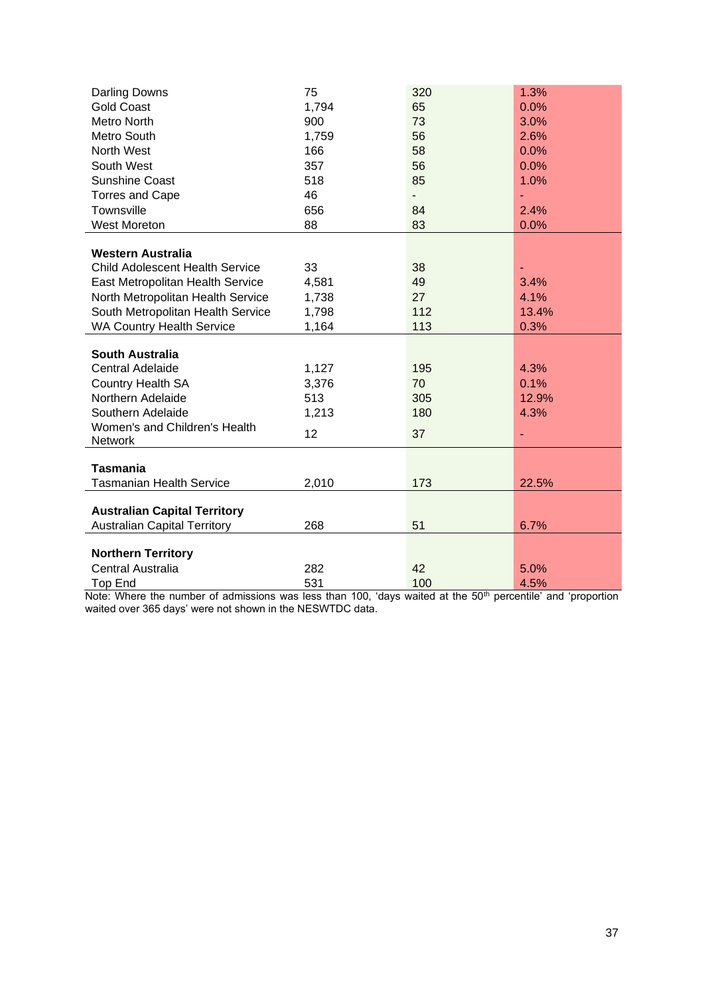| <b>Darling Downs</b>                   | 75    | 320 | 1.3%  |
|----------------------------------------|-------|-----|-------|
| <b>Gold Coast</b>                      | 1,794 | 65  | 0.0%  |
| Metro North                            | 900   | 73  | 3.0%  |
| Metro South                            | 1,759 | 56  | 2.6%  |
| North West                             | 166   | 58  | 0.0%  |
| South West                             | 357   | 56  | 0.0%  |
| Sunshine Coast                         | 518   | 85  | 1.0%  |
| <b>Torres and Cape</b>                 | 46    | ÷.  | ä,    |
| Townsville                             | 656   | 84  | 2.4%  |
| <b>West Moreton</b>                    | 88    | 83  | 0.0%  |
|                                        |       |     |       |
| Western Australia                      |       |     |       |
| <b>Child Adolescent Health Service</b> | 33    | 38  |       |
| East Metropolitan Health Service       | 4,581 | 49  | 3.4%  |
| North Metropolitan Health Service      | 1,738 | 27  | 4.1%  |
| South Metropolitan Health Service      | 1,798 | 112 | 13.4% |
| <b>WA Country Health Service</b>       | 1,164 | 113 | 0.3%  |
| <b>South Australia</b>                 |       |     |       |
| <b>Central Adelaide</b>                | 1,127 | 195 | 4.3%  |
| <b>Country Health SA</b>               | 3,376 | 70  | 0.1%  |
| Northern Adelaide                      | 513   | 305 | 12.9% |
| Southern Adelaide                      | 1,213 | 180 | 4.3%  |
| Women's and Children's Health          |       |     |       |
| Network                                | 12    | 37  |       |
|                                        |       |     |       |
| Tasmania                               |       |     |       |
| <b>Tasmanian Health Service</b>        | 2,010 | 173 | 22.5% |
|                                        |       |     |       |
| <b>Australian Capital Territory</b>    |       |     |       |
| <b>Australian Capital Territory</b>    | 268   | 51  | 6.7%  |
| <b>Northern Territory</b>              |       |     |       |
| Central Australia                      | 282   | 42  | 5.0%  |
| Top End                                | 531   | 100 | 4.5%  |

Note: Where the number of admissions was less than 100, 'days waited at the 50<sup>th</sup> percentile' and 'proportion waited over 365 days' were not shown in the NESWTDC data.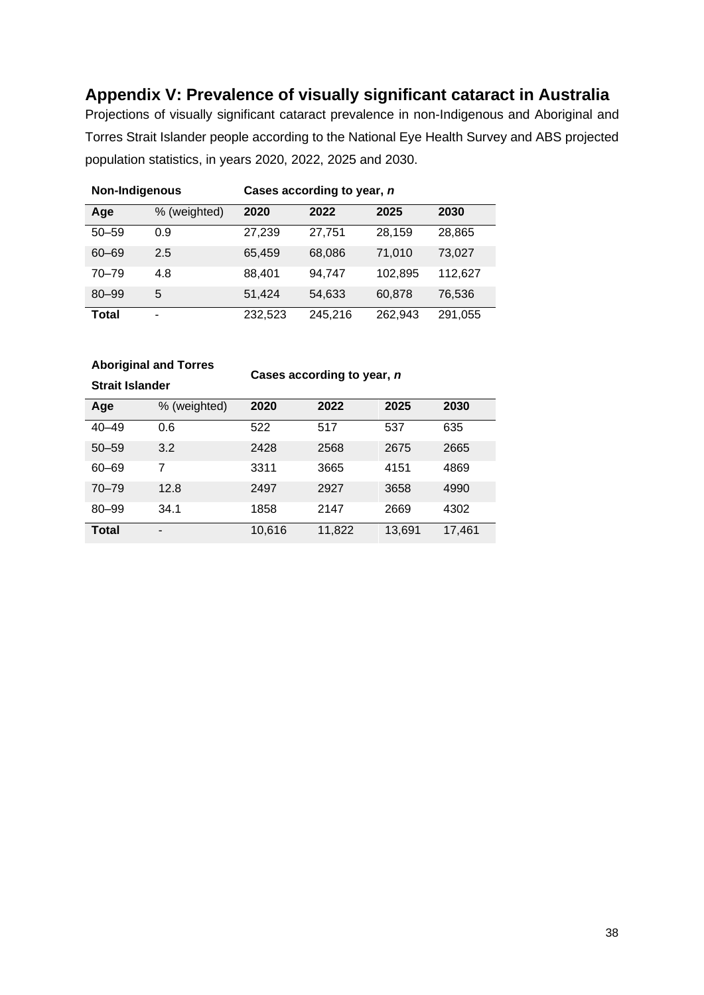## <span id="page-37-0"></span>**Appendix V: Prevalence of visually significant cataract in Australia**

Projections of visually significant cataract prevalence in non-Indigenous and Aboriginal and Torres Strait Islander people according to the National Eye Health Survey and ABS projected population statistics, in years 2020, 2022, 2025 and 2030.

| Non-Indigenous |              | Cases according to year, n |         |         |         |
|----------------|--------------|----------------------------|---------|---------|---------|
| Age            | % (weighted) | 2020                       | 2022    | 2025    | 2030    |
| $50 - 59$      | 0.9          | 27,239                     | 27,751  | 28,159  | 28,865  |
| $60 - 69$      | 2.5          | 65,459                     | 68,086  | 71.010  | 73,027  |
| $70 - 79$      | 4.8          | 88,401                     | 94.747  | 102.895 | 112,627 |
| $80 - 99$      | 5            | 51.424                     | 54,633  | 60.878  | 76,536  |
| Total          | -            | 232,523                    | 245,216 | 262.943 | 291,055 |

#### **Aboriginal and Torres**

**Strait Islander**

**Cases according to year,** *n*

| Age       | % (weighted) | 2020   | 2022   | 2025   | 2030   |
|-----------|--------------|--------|--------|--------|--------|
| $40 - 49$ | 0.6          | 522    | 517    | 537    | 635    |
| $50 - 59$ | 3.2          | 2428   | 2568   | 2675   | 2665   |
| $60 - 69$ | 7            | 3311   | 3665   | 4151   | 4869   |
| $70 - 79$ | 12.8         | 2497   | 2927   | 3658   | 4990   |
| $80 - 99$ | 34.1         | 1858   | 2147   | 2669   | 4302   |
| Total     | -            | 10,616 | 11,822 | 13,691 | 17.461 |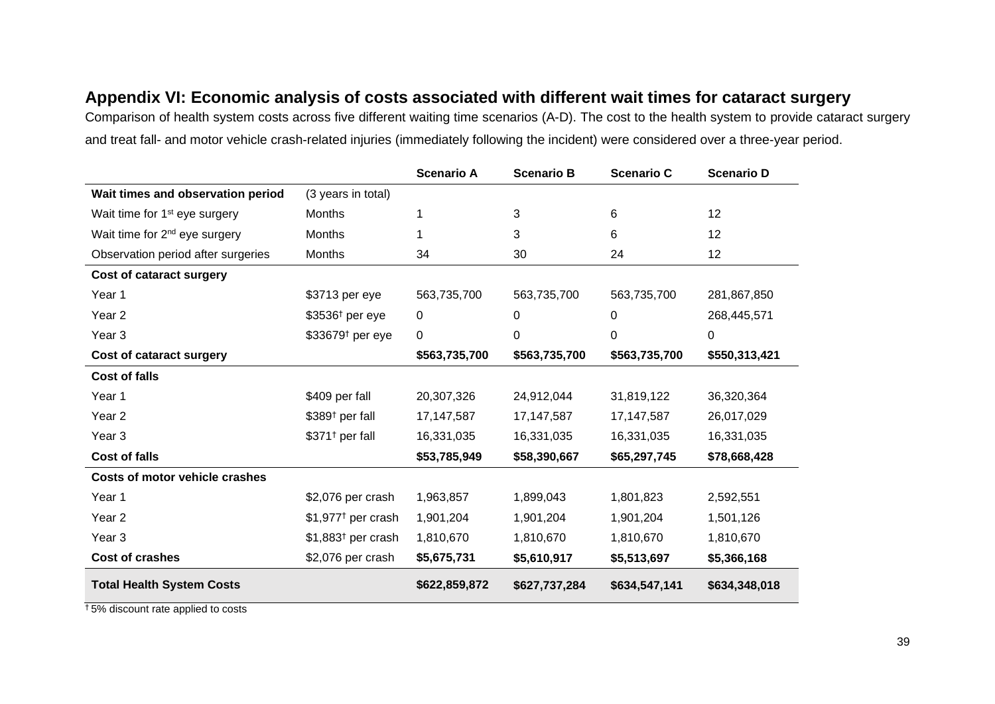### **Appendix VI: Economic analysis of costs associated with different wait times for cataract surgery**

Comparison of health system costs across five different waiting time scenarios (A-D). The cost to the health system to provide cataract surgery and treat fall- and motor vehicle crash-related injuries (immediately following the incident) were considered over a three-year period.

<span id="page-38-0"></span>

|                                           |                                 | <b>Scenario A</b> | <b>Scenario B</b> | <b>Scenario C</b> | <b>Scenario D</b> |
|-------------------------------------------|---------------------------------|-------------------|-------------------|-------------------|-------------------|
| Wait times and observation period         | (3 years in total)              |                   |                   |                   |                   |
| Wait time for 1 <sup>st</sup> eye surgery | <b>Months</b>                   |                   | 3                 | 6                 | 12                |
| Wait time for 2 <sup>nd</sup> eye surgery | Months                          |                   | 3                 | 6                 | 12                |
| Observation period after surgeries        | Months                          | 34                | 30                | 24                | 12                |
| Cost of cataract surgery                  |                                 |                   |                   |                   |                   |
| Year 1                                    | \$3713 per eye                  | 563,735,700       | 563,735,700       | 563,735,700       | 281,867,850       |
| Year <sub>2</sub>                         | $$3536†$ per eye                | 0                 | 0                 | 0                 | 268,445,571       |
| Year <sub>3</sub>                         | \$33679 <sup>t</sup> per eye    | 0                 | $\Omega$          | 0                 | $\mathbf 0$       |
| Cost of cataract surgery                  |                                 | \$563,735,700     | \$563,735,700     | \$563,735,700     | \$550,313,421     |
| <b>Cost of falls</b>                      |                                 |                   |                   |                   |                   |
| Year 1                                    | \$409 per fall                  | 20,307,326        | 24,912,044        | 31,819,122        | 36,320,364        |
| Year 2                                    | \$389 <sup>t</sup> per fall     | 17, 147, 587      | 17,147,587        | 17, 147, 587      | 26,017,029        |
| Year <sub>3</sub>                         | \$371 <sup>t</sup> per fall     | 16,331,035        | 16,331,035        | 16,331,035        | 16,331,035        |
| <b>Cost of falls</b>                      |                                 | \$53,785,949      | \$58,390,667      | \$65,297,745      | \$78,668,428      |
| <b>Costs of motor vehicle crashes</b>     |                                 |                   |                   |                   |                   |
| Year 1                                    | \$2,076 per crash               | 1,963,857         | 1,899,043         | 1,801,823         | 2,592,551         |
| Year <sub>2</sub>                         | \$1,977 <sup>†</sup> per crash  | 1,901,204         | 1,901,204         | 1,901,204         | 1,501,126         |
| Year <sub>3</sub>                         | $$1,883$ <sup>t</sup> per crash | 1,810,670         | 1,810,670         | 1,810,670         | 1,810,670         |
| <b>Cost of crashes</b>                    | \$2,076 per crash               | \$5,675,731       | \$5,610,917       | \$5,513,697       | \$5,366,168       |
| <b>Total Health System Costs</b>          |                                 | \$622,859,872     | \$627,737,284     | \$634,547,141     | \$634,348,018     |

† 5% discount rate applied to costs